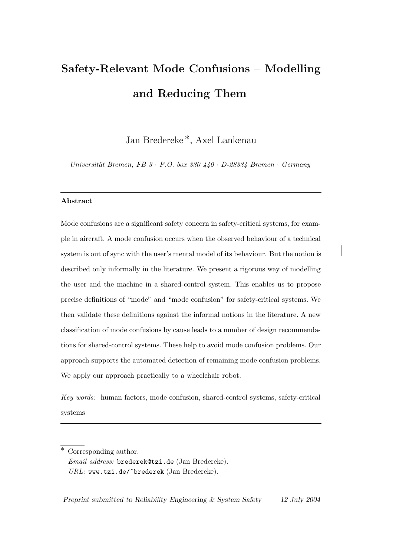# Safety-Relevant Mode Confusions – Modelling and Reducing Them

Jan Bredereke<sup>\*</sup>, Axel Lankenau

Universität Bremen, FB  $3 \cdot P.$ O. box 330  $440 \cdot D - 28334$  Bremen · Germany

#### Abstract

Mode confusions are a significant safety concern in safety-critical systems, for example in aircraft. A mode confusion occurs when the observed behaviour of a technical system is out of sync with the user's mental model of its behaviour. But the notion is described only informally in the literature. We present a rigorous way of modelling the user and the machine in a shared-control system. This enables us to propose precise definitions of "mode" and "mode confusion" for safety-critical systems. We then validate these definitions against the informal notions in the literature. A new classification of mode confusions by cause leads to a number of design recommendations for shared-control systems. These help to avoid mode confusion problems. Our approach supports the automated detection of remaining mode confusion problems. We apply our approach practically to a wheelchair robot.

Key words: human factors, mode confusion, shared-control systems, safety-critical systems

Preprint submitted to Reliability Engineering & System Safety 12 July 2004

Corresponding author. Email address: brederek@tzi.de (Jan Bredereke). URL: www.tzi.de/"brederek (Jan Bredereke).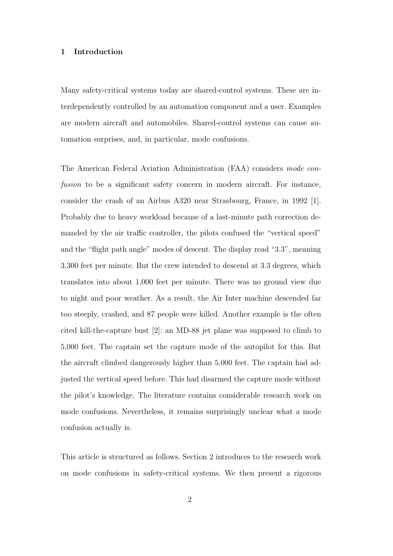#### 1 Introduction

Many safety-critical systems today are shared-control systems. These are interdependently controlled by an automation component and a user. Examples are modern aircraft and automobiles. Shared-control systems can cause automation surprises, and, in particular, mode confusions.

The American Federal Aviation Administration (FAA) considers mode confusion to be a significant safety concern in modern aircraft. For instance, consider the crash of an Airbus A320 near Strasbourg, France, in 1992 [1]. Probably due to heavy workload because of a last-minute path correction demanded by the air traffic controller, the pilots confused the "vertical speed" and the "flight path angle" modes of descent. The display read "3.3", meaning 3,300 feet per minute. But the crew intended to descend at 3.3 degrees, which translates into about 1,000 feet per minute. There was no ground view due to night and poor weather. As a result, the Air Inter machine descended far too steeply, crashed, and 87 people were killed. Another example is the often cited kill-the-capture bust [2]: an MD-88 jet plane was supposed to climb to 5,000 feet. The captain set the capture mode of the autopilot for this. But the aircraft climbed dangerously higher than 5,000 feet. The captain had adjusted the vertical speed before. This had disarmed the capture mode without the pilot's knowledge. The literature contains considerable research work on mode confusions. Nevertheless, it remains surprisingly unclear what a mode confusion actually is.

This article is structured as follows. Section 2 introduces to the research work on mode confusions in safety-critical systems. We then present a rigorous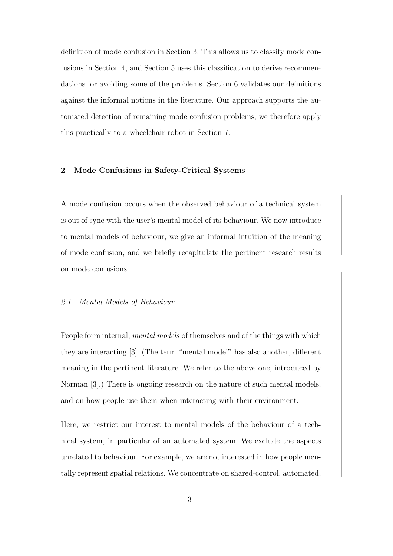definition of mode confusion in Section 3. This allows us to classify mode confusions in Section 4, and Section 5 uses this classification to derive recommendations for avoiding some of the problems. Section 6 validates our definitions against the informal notions in the literature. Our approach supports the automated detection of remaining mode confusion problems; we therefore apply this practically to a wheelchair robot in Section 7.

### 2 Mode Confusions in Safety-Critical Systems

A mode confusion occurs when the observed behaviour of a technical system is out of sync with the user's mental model of its behaviour. We now introduce to mental models of behaviour, we give an informal intuition of the meaning of mode confusion, and we briefly recapitulate the pertinent research results on mode confusions.

#### 2.1 Mental Models of Behaviour

People form internal, mental models of themselves and of the things with which they are interacting [3]. (The term "mental model" has also another, different meaning in the pertinent literature. We refer to the above one, introduced by Norman [3].) There is ongoing research on the nature of such mental models, and on how people use them when interacting with their environment.

Here, we restrict our interest to mental models of the behaviour of a technical system, in particular of an automated system. We exclude the aspects unrelated to behaviour. For example, we are not interested in how people mentally represent spatial relations. We concentrate on shared-control, automated,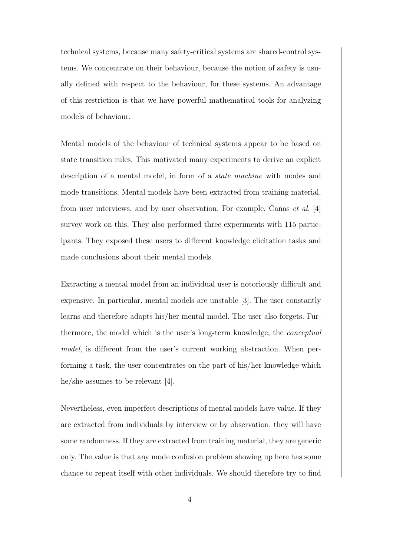technical systems, because many safety-critical systems are shared-control systems. We concentrate on their behaviour, because the notion of safety is usually defined with respect to the behaviour, for these systems. An advantage of this restriction is that we have powerful mathematical tools for analyzing models of behaviour.

Mental models of the behaviour of technical systems appear to be based on state transition rules. This motivated many experiments to derive an explicit description of a mental model, in form of a state machine with modes and mode transitions. Mental models have been extracted from training material, from user interviews, and by user observation. For example, Canas *et al.* [4] survey work on this. They also performed three experiments with 115 participants. They exposed these users to different knowledge elicitation tasks and made conclusions about their mental models.

Extracting a mental model from an individual user is notoriously difficult and expensive. In particular, mental models are unstable [3]. The user constantly learns and therefore adapts his/her mental model. The user also forgets. Furthermore, the model which is the user's long-term knowledge, the conceptual model, is different from the user's current working abstraction. When performing a task, the user concentrates on the part of his/her knowledge which he/she assumes to be relevant [4].

Nevertheless, even imperfect descriptions of mental models have value. If they are extracted from individuals by interview or by observation, they will have some randomness. If they are extracted from training material, they are generic only. The value is that any mode confusion problem showing up here has some chance to repeat itself with other individuals. We should therefore try to find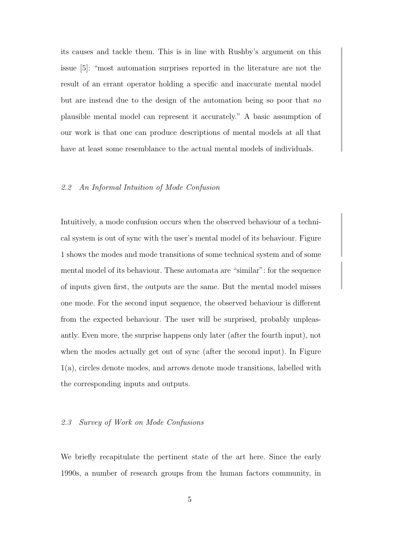its causes and tackle them. This is in line with Rushby's argument on this issue [5]: "most automation surprises reported in the literature are not the result of an errant operator holding a specific and inaccurate mental model but are instead due to the design of the automation being so poor that no plausible mental model can represent it accurately." A basic assumption of our work is that one can produce descriptions of mental models at all that have at least some resemblance to the actual mental models of individuals.

# 2.2 An Informal Intuition of Mode Confusion

Intuitively, a mode confusion occurs when the observed behaviour of a technical system is out of sync with the user's mental model of its behaviour. Figure 1 shows the modes and mode transitions of some technical system and of some mental model of its behaviour. These automata are "similar": for the sequence of inputs given first, the outputs are the same. But the mental model misses one mode. For the second input sequence, the observed behaviour is different from the expected behaviour. The user will be surprised, probably unpleasantly. Even more, the surprise happens only later (after the fourth input), not when the modes actually get out of sync (after the second input). In Figure 1(a), circles denote modes, and arrows denote mode transitions, labelled with the corresponding inputs and outputs.

### 2.3 Survey of Work on Mode Confusions

We briefly recapitulate the pertinent state of the art here. Since the early 1990s, a number of research groups from the human factors community, in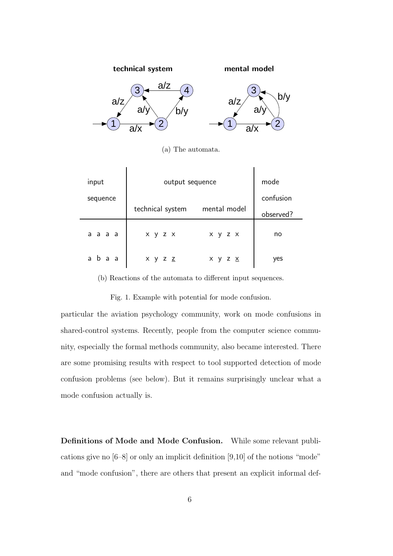

(a) The automata.

| input         | output sequence  |                | mode      |
|---------------|------------------|----------------|-----------|
| sequence      |                  |                | confusion |
|               | technical system | mental model   | observed? |
| a a a a       | x y z x          | x y z x        | no        |
| a<br>- a<br>a | x y z <u>z</u>   | x y z <u>x</u> | yes       |

(b) Reactions of the automata to different input sequences.

Fig. 1. Example with potential for mode confusion.

particular the aviation psychology community, work on mode confusions in shared-control systems. Recently, people from the computer science community, especially the formal methods community, also became interested. There are some promising results with respect to tool supported detection of mode confusion problems (see below). But it remains surprisingly unclear what a mode confusion actually is.

Definitions of Mode and Mode Confusion. While some relevant publications give no [6–8] or only an implicit definition [9,10] of the notions "mode" and "mode confusion", there are others that present an explicit informal def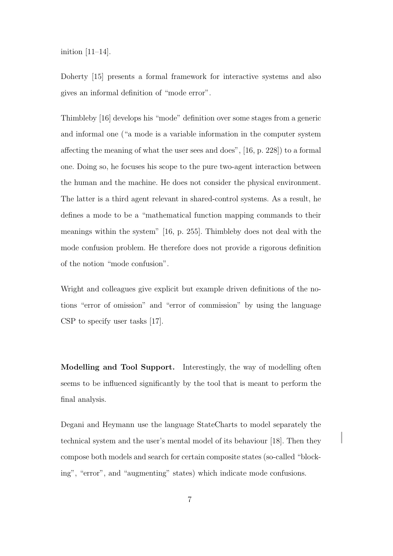inition [11–14].

Doherty [15] presents a formal framework for interactive systems and also gives an informal definition of "mode error".

Thimbleby [16] develops his "mode" definition over some stages from a generic and informal one ("a mode is a variable information in the computer system affecting the meaning of what the user sees and does", [16, p. 228]) to a formal one. Doing so, he focuses his scope to the pure two-agent interaction between the human and the machine. He does not consider the physical environment. The latter is a third agent relevant in shared-control systems. As a result, he defines a mode to be a "mathematical function mapping commands to their meanings within the system" [16, p. 255]. Thimbleby does not deal with the mode confusion problem. He therefore does not provide a rigorous definition of the notion "mode confusion".

Wright and colleagues give explicit but example driven definitions of the notions "error of omission" and "error of commission" by using the language CSP to specify user tasks [17].

Modelling and Tool Support. Interestingly, the way of modelling often seems to be influenced significantly by the tool that is meant to perform the final analysis.

Degani and Heymann use the language StateCharts to model separately the technical system and the user's mental model of its behaviour [18]. Then they compose both models and search for certain composite states (so-called "blocking", "error", and "augmenting" states) which indicate mode confusions.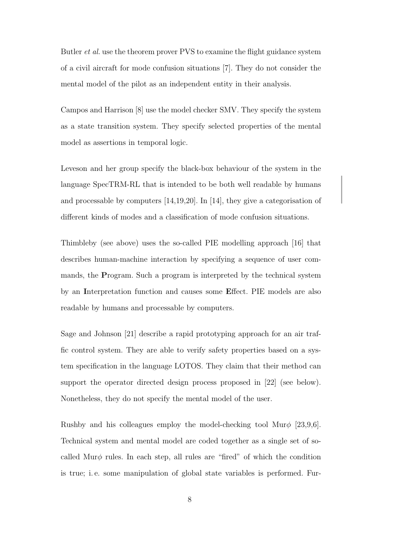Butler et al. use the theorem prover PVS to examine the flight guidance system of a civil aircraft for mode confusion situations [7]. They do not consider the mental model of the pilot as an independent entity in their analysis.

Campos and Harrison [8] use the model checker SMV. They specify the system as a state transition system. They specify selected properties of the mental model as assertions in temporal logic.

Leveson and her group specify the black-box behaviour of the system in the language SpecTRM-RL that is intended to be both well readable by humans and processable by computers [14,19,20]. In [14], they give a categorisation of different kinds of modes and a classification of mode confusion situations.

Thimbleby (see above) uses the so-called PIE modelling approach [16] that describes human-machine interaction by specifying a sequence of user commands, the Program. Such a program is interpreted by the technical system by an Interpretation function and causes some Effect. PIE models are also readable by humans and processable by computers.

Sage and Johnson [21] describe a rapid prototyping approach for an air traffic control system. They are able to verify safety properties based on a system specification in the language LOTOS. They claim that their method can support the operator directed design process proposed in [22] (see below). Nonetheless, they do not specify the mental model of the user.

Rushby and his colleagues employ the model-checking tool Mur $\phi$  [23,9,6]. Technical system and mental model are coded together as a single set of socalled Mur $\phi$  rules. In each step, all rules are "fired" of which the condition is true; i. e. some manipulation of global state variables is performed. Fur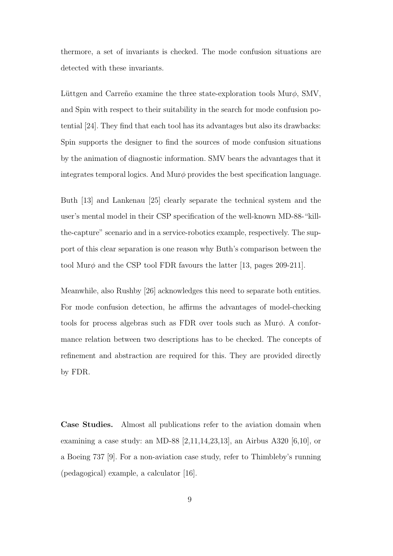thermore, a set of invariants is checked. The mode confusion situations are detected with these invariants.

Luttgen and Carreño examine the three state-exploration tools Mur $\phi$ , SMV, and Spin with respect to their suitability in the search for mode confusion potential [24]. They find that each tool has its advantages but also its drawbacks: Spin supports the designer to find the sources of mode confusion situations by the animation of diagnostic information. SMV bears the advantages that it integrates temporal logics. And  $\text{Mur}\phi$  provides the best specification language.

Buth [13] and Lankenau [25] clearly separate the technical system and the user's mental model in their CSP specification of the well-known MD-88-"killthe-capture" scenario and in a service-robotics example, respectively. The support of this clear separation is one reason why Buth's comparison between the tool Mur $\phi$  and the CSP tool FDR favours the latter [13, pages 209-211].

Meanwhile, also Rushby [26] acknowledges this need to separate both entities. For mode confusion detection, he affirms the advantages of model-checking tools for process algebras such as FDR over tools such as  $Mur\phi$ . A conformance relation between two descriptions has to be checked. The concepts of refinement and abstraction are required for this. They are provided directly by FDR.

Case Studies. Almost all publications refer to the aviation domain when examining a case study: an MD-88 [2,11,14,23,13], an Airbus A320 [6,10], or a Boeing 737 [9]. For a non-aviation case study, refer to Thimbleby's running (pedagogical) example, a calculator [16].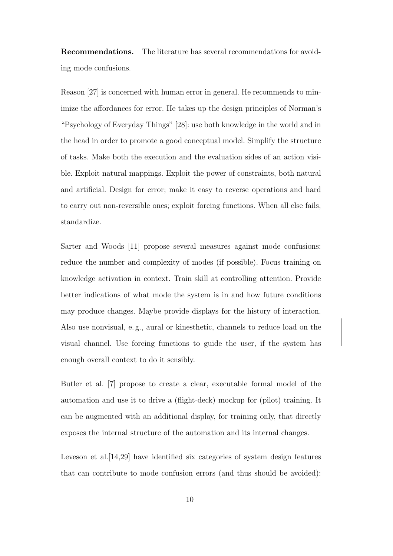Recommendations. The literature has several recommendations for avoiding mode confusions.

Reason [27] is concerned with human error in general. He recommends to minimize the affordances for error. He takes up the design principles of Norman's "Psychology of Everyday Things" [28]: use both knowledge in the world and in the head in order to promote a good conceptual model. Simplify the structure of tasks. Make both the execution and the evaluation sides of an action visible. Exploit natural mappings. Exploit the power of constraints, both natural and artificial. Design for error; make it easy to reverse operations and hard to carry out non-reversible ones; exploit forcing functions. When all else fails, standardize.

Sarter and Woods [11] propose several measures against mode confusions: reduce the number and complexity of modes (if possible). Focus training on knowledge activation in context. Train skill at controlling attention. Provide better indications of what mode the system is in and how future conditions may produce changes. Maybe provide displays for the history of interaction. Also use nonvisual, e. g., aural or kinesthetic, channels to reduce load on the visual channel. Use forcing functions to guide the user, if the system has enough overall context to do it sensibly.

Butler et al. [7] propose to create a clear, executable formal model of the automation and use it to drive a (flight-deck) mockup for (pilot) training. It can be augmented with an additional display, for training only, that directly exposes the internal structure of the automation and its internal changes.

Leveson et al.[14,29] have identified six categories of system design features that can contribute to mode confusion errors (and thus should be avoided):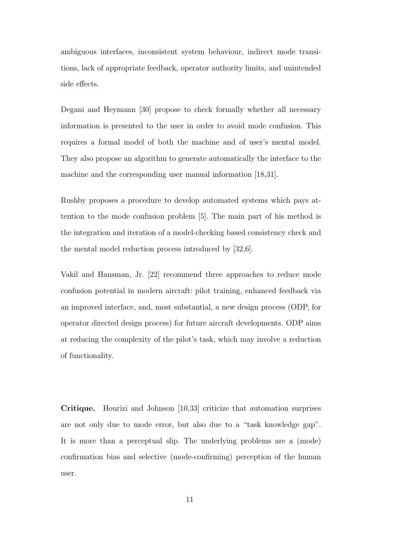ambiguous interfaces, inconsistent system behaviour, indirect mode transitions, lack of appropriate feedback, operator authority limits, and unintended side effects.

Degani and Heymann [30] propose to check formally whether all necessary information is presented to the user in order to avoid mode confusion. This requires a formal model of both the machine and of user's mental model. They also propose an algorithm to generate automatically the interface to the machine and the corresponding user manual information [18,31].

Rushby proposes a procedure to develop automated systems which pays attention to the mode confusion problem [5]. The main part of his method is the integration and iteration of a model-checking based consistency check and the mental model reduction process introduced by [32,6].

Vakil and Hansman, Jr. [22] recommend three approaches to reduce mode confusion potential in modern aircraft: pilot training, enhanced feedback via an improved interface, and, most substantial, a new design process (ODP, for operator directed design process) for future aircraft developments. ODP aims at reducing the complexity of the pilot's task, which may involve a reduction of functionality.

Critique. Hourizi and Johnson [10,33] criticize that automation surprises are not only due to mode error, but also due to a "task knowledge gap". It is more than a perceptual slip. The underlying problems are a (mode) confirmation bias and selective (mode-confirming) perception of the human user.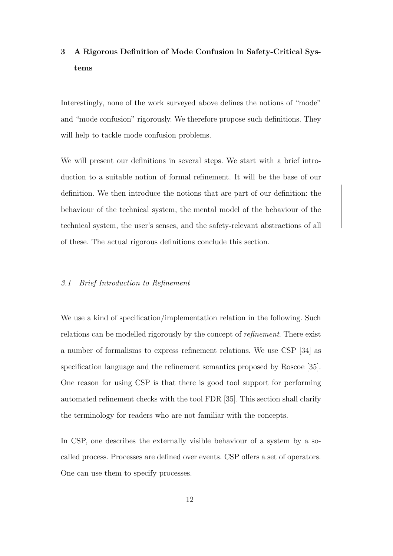# 3 A Rigorous Definition of Mode Confusion in Safety-Critical Systems

Interestingly, none of the work surveyed above defines the notions of "mode" and "mode confusion" rigorously. We therefore propose such definitions. They will help to tackle mode confusion problems.

We will present our definitions in several steps. We start with a brief introduction to a suitable notion of formal refinement. It will be the base of our definition. We then introduce the notions that are part of our definition: the behaviour of the technical system, the mental model of the behaviour of the technical system, the user's senses, and the safety-relevant abstractions of all of these. The actual rigorous definitions conclude this section.

#### 3.1 Brief Introduction to Refinement

We use a kind of specification/implementation relation in the following. Such relations can be modelled rigorously by the concept of refinement. There exist a number of formalisms to express refinement relations. We use CSP [34] as specification language and the refinement semantics proposed by Roscoe [35]. One reason for using CSP is that there is good tool support for performing automated refinement checks with the tool FDR [35]. This section shall clarify the terminology for readers who are not familiar with the concepts.

In CSP, one describes the externally visible behaviour of a system by a socalled process. Processes are defined over events. CSP offers a set of operators. One can use them to specify processes.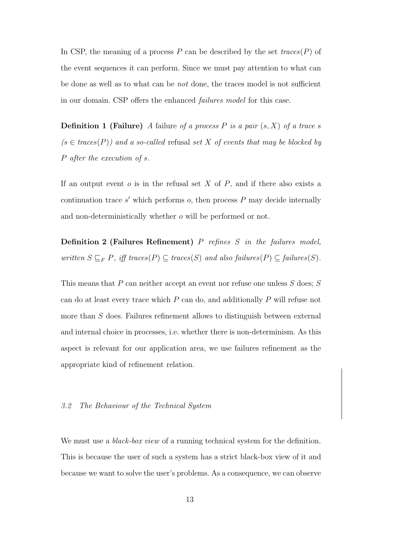In CSP, the meaning of a process P can be described by the set  $traces(P)$  of the event sequences it can perform. Since we must pay attention to what can be done as well as to what can be not done, the traces model is not sufficient in our domain. CSP offers the enhanced failures model for this case.

**Definition 1 (Failure)** A failure of a process P is a pair  $(s, X)$  of a trace s  $(s \in traces(P))$  and a so-called refusal set X of events that may be blocked by P after the execution of s.

If an output event  $o$  is in the refusal set  $X$  of  $P$ , and if there also exists a continuation trace  $s'$  which performs  $o$ , then process  $P$  may decide internally and non-deterministically whether o will be performed or not.

Definition 2 (Failures Refinement)  $P$  refines  $S$  in the failures model, written  $S \sqsubseteq_F P$ , iff traces(P)  $\subseteq$  traces(S) and also failures(P)  $\subseteq$  failures(S).

This means that  $P$  can neither accept an event nor refuse one unless  $S$  does;  $S$ can do at least every trace which P can do, and additionally P will refuse not more than S does. Failures refinement allows to distinguish between external and internal choice in processes, i.e. whether there is non-determinism. As this aspect is relevant for our application area, we use failures refinement as the appropriate kind of refinement relation.

#### 3.2 The Behaviour of the Technical System

We must use a *black-box view* of a running technical system for the definition. This is because the user of such a system has a strict black-box view of it and because we want to solve the user's problems. As a consequence, we can observe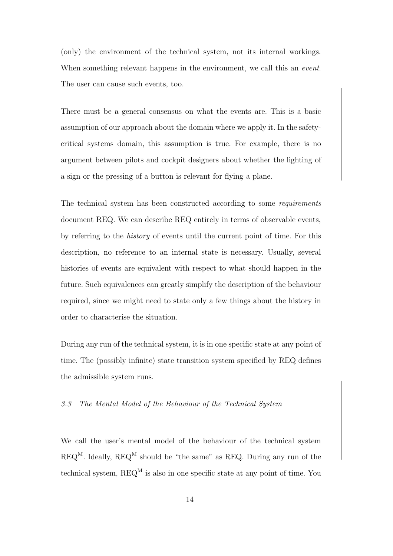(only) the environment of the technical system, not its internal workings. When something relevant happens in the environment, we call this an *event*. The user can cause such events, too.

There must be a general consensus on what the events are. This is a basic assumption of our approach about the domain where we apply it. In the safetycritical systems domain, this assumption is true. For example, there is no argument between pilots and cockpit designers about whether the lighting of a sign or the pressing of a button is relevant for flying a plane.

The technical system has been constructed according to some requirements document REQ. We can describe REQ entirely in terms of observable events, by referring to the history of events until the current point of time. For this description, no reference to an internal state is necessary. Usually, several histories of events are equivalent with respect to what should happen in the future. Such equivalences can greatly simplify the description of the behaviour required, since we might need to state only a few things about the history in order to characterise the situation.

During any run of the technical system, it is in one specific state at any point of time. The (possibly infinite) state transition system specified by REQ defines the admissible system runs.

# 3.3 The Mental Model of the Behaviour of the Technical System

We call the user's mental model of the behaviour of the technical system  $REC^M$ . Ideally,  $REQ^M$  should be "the same" as REQ. During any run of the technical system,  $\text{REQ}^{\text{M}}$  is also in one specific state at any point of time. You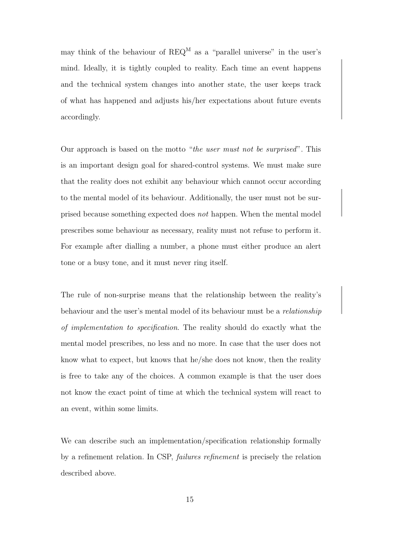may think of the behaviour of  $REQ^M$  as a "parallel universe" in the user's mind. Ideally, it is tightly coupled to reality. Each time an event happens and the technical system changes into another state, the user keeps track of what has happened and adjusts his/her expectations about future events accordingly.

Our approach is based on the motto "the user must not be surprised". This is an important design goal for shared-control systems. We must make sure that the reality does not exhibit any behaviour which cannot occur according to the mental model of its behaviour. Additionally, the user must not be surprised because something expected does not happen. When the mental model prescribes some behaviour as necessary, reality must not refuse to perform it. For example after dialling a number, a phone must either produce an alert tone or a busy tone, and it must never ring itself.

The rule of non-surprise means that the relationship between the reality's behaviour and the user's mental model of its behaviour must be a relationship of implementation to specification. The reality should do exactly what the mental model prescribes, no less and no more. In case that the user does not know what to expect, but knows that he/she does not know, then the reality is free to take any of the choices. A common example is that the user does not know the exact point of time at which the technical system will react to an event, within some limits.

We can describe such an implementation/specification relationship formally by a refinement relation. In CSP, failures refinement is precisely the relation described above.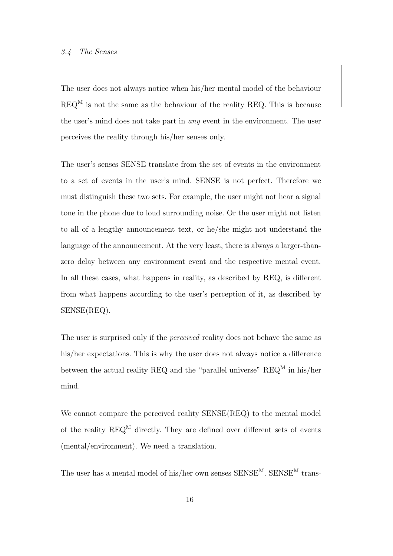#### 3.4 The Senses

The user does not always notice when his/her mental model of the behaviour  $\mathsf{REQ}^\mathsf{M}$  is not the same as the behaviour of the reality REQ. This is because the user's mind does not take part in any event in the environment. The user perceives the reality through his/her senses only.

The user's senses SENSE translate from the set of events in the environment to a set of events in the user's mind. SENSE is not perfect. Therefore we must distinguish these two sets. For example, the user might not hear a signal tone in the phone due to loud surrounding noise. Or the user might not listen to all of a lengthy announcement text, or he/she might not understand the language of the announcement. At the very least, there is always a larger-thanzero delay between any environment event and the respective mental event. In all these cases, what happens in reality, as described by REQ, is different from what happens according to the user's perception of it, as described by SENSE(REQ).

The user is surprised only if the *perceived* reality does not behave the same as his/her expectations. This is why the user does not always notice a difference between the actual reality REQ and the "parallel universe"  $REQ^M$  in his/her mind.

We cannot compare the perceived reality  $SENSE(REQ)$  to the mental model of the reality  $\text{REQ}^{\text{M}}$  directly. They are defined over different sets of events (mental/environment). We need a translation.

The user has a mental model of his/her own senses  ${\rm SENSE^M}$ .  ${\rm SENSE^M}$  trans-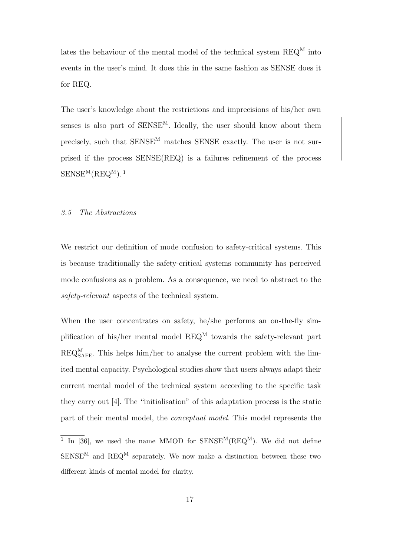lates the behaviour of the mental model of the technical system  $\operatorname{REQ}^{\rm M}$  into events in the user's mind. It does this in the same fashion as SENSE does it for REQ.

The user's knowledge about the restrictions and imprecisions of his/her own senses is also part of  $SENSE^M$ . Ideally, the user should know about them precisely, such that  $SENSE<sup>M</sup>$  matches  $SENSE$  exactly. The user is not surprised if the process SENSE(REQ) is a failures refinement of the process  $SENSE^{M}(REQ^{M}).$ <sup>1</sup>

#### 3.5 The Abstractions

We restrict our definition of mode confusion to safety-critical systems. This is because traditionally the safety-critical systems community has perceived mode confusions as a problem. As a consequence, we need to abstract to the safety-relevant aspects of the technical system.

When the user concentrates on safety, he/she performs an on-the-fly simplification of his/her mental model  $\text{REQ}^{\text{M}}$  towards the safety-relevant part  $\text{REQ}_{\text{SAFE}}^{\text{M}}$ . This helps him/her to analyse the current problem with the limited mental capacity. Psychological studies show that users always adapt their current mental model of the technical system according to the specific task they carry out [4]. The "initialisation" of this adaptation process is the static part of their mental model, the conceptual model. This model represents the

<sup>&</sup>lt;sup>1</sup> In [36], we used the name MMOD for  $SENSE^{M}(REQ^{M})$ . We did not define  $SENSE^{M}$  and  $REG^{M}$  separately. We now make a distinction between these two different kinds of mental model for clarity.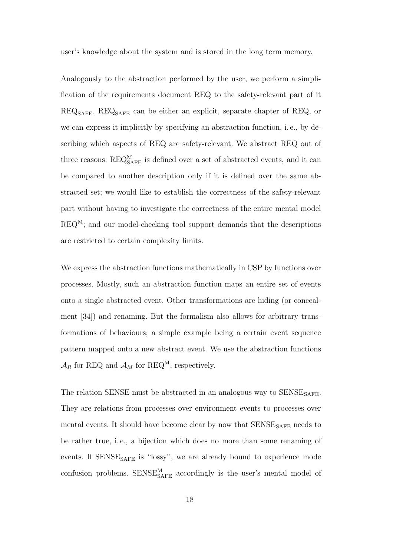user's knowledge about the system and is stored in the long term memory.

Analogously to the abstraction performed by the user, we perform a simplification of the requirements document REQ to the safety-relevant part of it  $REG<sub>SAFE</sub>$ .  $REG<sub>SAFE</sub>$  can be either an explicit, separate chapter of REQ, or we can express it implicitly by specifying an abstraction function, i. e., by describing which aspects of REQ are safety-relevant. We abstract REQ out of three reasons:  $\text{REQ}_{\text{SAFE}}^{\text{M}}$  is defined over a set of abstracted events, and it can be compared to another description only if it is defined over the same abstracted set; we would like to establish the correctness of the safety-relevant part without having to investigate the correctness of the entire mental model  $\text{REQ}^{\text{M}}$ ; and our model-checking tool support demands that the descriptions are restricted to certain complexity limits.

We express the abstraction functions mathematically in CSP by functions over processes. Mostly, such an abstraction function maps an entire set of events onto a single abstracted event. Other transformations are hiding (or concealment [34]) and renaming. But the formalism also allows for arbitrary transformations of behaviours; a simple example being a certain event sequence pattern mapped onto a new abstract event. We use the abstraction functions  $\mathcal{A}_R$  for REQ and  $\mathcal{A}_M$  for REQ<sup>M</sup>, respectively.

The relation SENSE must be abstracted in an analogous way to  $SENSE<sub>SAFF</sub>$ . They are relations from processes over environment events to processes over mental events. It should have become clear by now that  $SENSE<sub>SAFF</sub>$  needs to be rather true, i. e., a bijection which does no more than some renaming of events. If SENSE<sub>SAFE</sub> is "lossy", we are already bound to experience mode confusion problems.  $\text{SENSE}_{\text{SAFE}}^{\text{M}}$  accordingly is the user's mental model of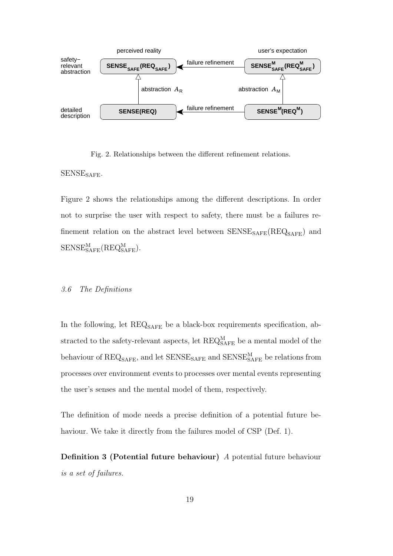

Fig. 2. Relationships between the different refinement relations.

# SENSE<sub>SAFE</sub>.

Figure 2 shows the relationships among the different descriptions. In order not to surprise the user with respect to safety, there must be a failures refinement relation on the abstract level between  $\text{SENSE}_{\text{SAFE}}(\text{REQ}_{\text{SAFE}})$  and  $\mathrm{SENSE}_{\mathrm{SAFE}}^{\mathrm{M}}(\mathrm{REQ}_{\mathrm{SAFE}}^{\mathrm{M}}).$ 

### 3.6 The Definitions

In the following, let  $\text{REQ}_{\text{SAFE}}$  be a black-box requirements specification, abstracted to the safety-relevant aspects, let  $\text{REQ}_{\text{SAFE}}^{\text{M}}$  be a mental model of the behaviour of  $\text{REQ}_{\text{SAFE}}$ , and let  $\text{SENSE}_{\text{SAFE}}$  and  $\text{SENSE}_{\text{SAFE}}^{\text{M}}$  be relations from processes over environment events to processes over mental events representing the user's senses and the mental model of them, respectively.

The definition of mode needs a precise definition of a potential future behaviour. We take it directly from the failures model of CSP (Def. 1).

Definition 3 (Potential future behaviour) A potential future behaviour is a set of failures.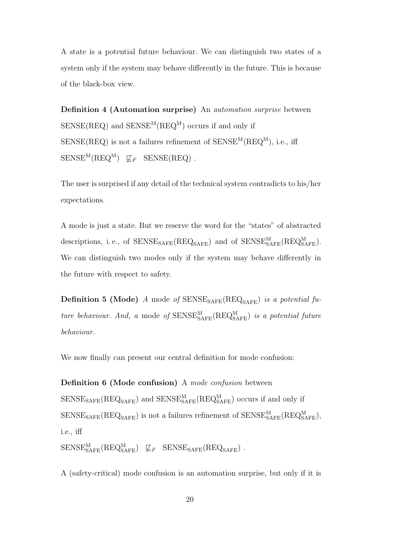A state is a potential future behaviour. We can distinguish two states of a system only if the system may behave differently in the future. This is because of the black-box view.

Definition 4 (Automation surprise) An automation surprise between  ${\rm SENSE}({\rm REQ})$  and  ${\rm SENSE}^{\rm M}({\rm REQ}^{\rm M})$  occurs if and only if  $SENSE(REG)$  is not a failures refinement of  $SENSE^M(REG^M)$ , i.e., iff  $SENSE^{M}(REQ^{M}) \not\sqsubseteq_{F} SENSE(REQ)$ .

The user is surprised if any detail of the technical system contradicts to his/her expectations.

A mode is just a state. But we reserve the word for the "states" of abstracted descriptions, i.e., of  $SENSE_{SAFE}(REG_{SAFE})$  and of  $SENSE_{SAFE}^{M}(REG_{SAFE}^{M})$ . We can distinguish two modes only if the system may behave differently in the future with respect to safety.

**Definition 5 (Mode)** A mode of  $SENSE<sub>SAFE</sub>(REQ<sub>SAFE</sub>)$  is a potential future behaviour. And, a mode of  $\text{SENSE}_{\text{SAFE}}^{\text{M}}(\text{REQ}_{\text{SAFE}}^{\text{M}})$  is a potential future behaviour.

We now finally can present our central definition for mode confusion:

Definition 6 (Mode confusion) A mode confusion between  $\text{SENSE}_{\text{SAFE}}(\text{REQ}_{\text{SAFE}})$  and  $\text{SENSE}_{\text{SAFE}}^{\text{M}}(\text{REQ}_{\text{SAFE}}^{\text{M}})$  occurs if and only if  $\text{SENSE}_{\text{SAFE}}(\text{REQ}_{\text{SAFE}})$  is not a failures refinement of  $\text{SENSE}_{\text{SAFE}}^{\text{M}}(\text{REQ}_{\text{SAFE}}^{\text{M}})$ , i.e., iff  $\text{SENSE}_{\text{SAFE}}^{\text{M}}(\text{REQ}_{\text{SAFE}}^{\text{M}}) \not\sqsubseteq_{F} \text{SENSE}_{\text{SAFE}}(\text{REQ}_{\text{SAFE}})$ .

A (safety-critical) mode confusion is an automation surprise, but only if it is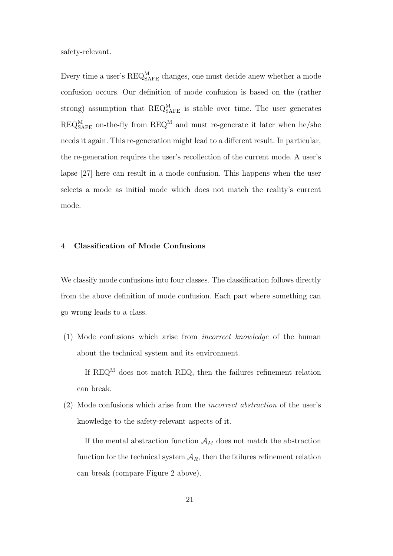safety-relevant.

Every time a user's  $\text{REQ}_{\text{SAFE}}^{\text{M}}$  changes, one must decide anew whether a mode confusion occurs. Our definition of mode confusion is based on the (rather strong) assumption that  $\text{REQ}_{\text{SAFE}}^{\text{M}}$  is stable over time. The user generates  $\text{REQ}_{\text{SAFE}}^{\text{M}}$  on-the-fly from  $\text{REQ}^{\text{M}}$  and must re-generate it later when he/she needs it again. This re-generation might lead to a different result. In particular, the re-generation requires the user's recollection of the current mode. A user's lapse [27] here can result in a mode confusion. This happens when the user selects a mode as initial mode which does not match the reality's current mode.

#### 4 Classification of Mode Confusions

We classify mode confusions into four classes. The classification follows directly from the above definition of mode confusion. Each part where something can go wrong leads to a class.

(1) Mode confusions which arise from incorrect knowledge of the human about the technical system and its environment.

If  $\text{REQ}^{\text{M}}$  does not match  $\text{REQ}$ , then the failures refinement relation can break.

(2) Mode confusions which arise from the incorrect abstraction of the user's knowledge to the safety-relevant aspects of it.

If the mental abstraction function  $\mathcal{A}_M$  does not match the abstraction function for the technical system  $A_R$ , then the failures refinement relation can break (compare Figure 2 above).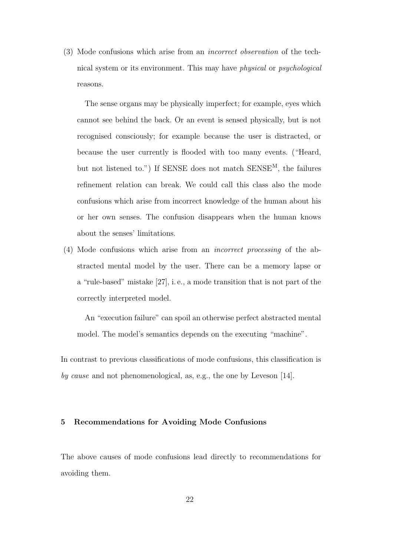(3) Mode confusions which arise from an incorrect observation of the technical system or its environment. This may have physical or psychological reasons.

The sense organs may be physically imperfect; for example, eyes which cannot see behind the back. Or an event is sensed physically, but is not recognised consciously; for example because the user is distracted, or because the user currently is flooded with too many events. ("Heard, but not listened to.") If SENSE does not match  ${\rm SENSE^M}$ , the failures refinement relation can break. We could call this class also the mode confusions which arise from incorrect knowledge of the human about his or her own senses. The confusion disappears when the human knows about the senses' limitations.

(4) Mode confusions which arise from an incorrect processing of the abstracted mental model by the user. There can be a memory lapse or a "rule-based" mistake [27], i. e., a mode transition that is not part of the correctly interpreted model.

An "execution failure" can spoil an otherwise perfect abstracted mental model. The model's semantics depends on the executing "machine".

In contrast to previous classifications of mode confusions, this classification is by cause and not phenomenological, as, e.g., the one by Leveson [14].

#### 5 Recommendations for Avoiding Mode Confusions

The above causes of mode confusions lead directly to recommendations for avoiding them.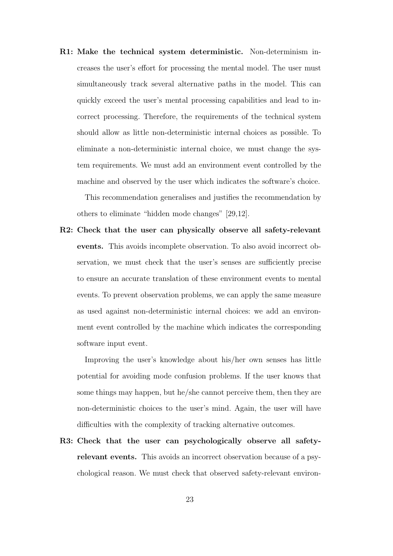R1: Make the technical system deterministic. Non-determinism increases the user's effort for processing the mental model. The user must simultaneously track several alternative paths in the model. This can quickly exceed the user's mental processing capabilities and lead to incorrect processing. Therefore, the requirements of the technical system should allow as little non-deterministic internal choices as possible. To eliminate a non-deterministic internal choice, we must change the system requirements. We must add an environment event controlled by the machine and observed by the user which indicates the software's choice.

This recommendation generalises and justifies the recommendation by others to eliminate "hidden mode changes" [29,12].

R2: Check that the user can physically observe all safety-relevant events. This avoids incomplete observation. To also avoid incorrect observation, we must check that the user's senses are sufficiently precise to ensure an accurate translation of these environment events to mental events. To prevent observation problems, we can apply the same measure as used against non-deterministic internal choices: we add an environment event controlled by the machine which indicates the corresponding software input event.

Improving the user's knowledge about his/her own senses has little potential for avoiding mode confusion problems. If the user knows that some things may happen, but he/she cannot perceive them, then they are non-deterministic choices to the user's mind. Again, the user will have difficulties with the complexity of tracking alternative outcomes.

R3: Check that the user can psychologically observe all safetyrelevant events. This avoids an incorrect observation because of a psychological reason. We must check that observed safety-relevant environ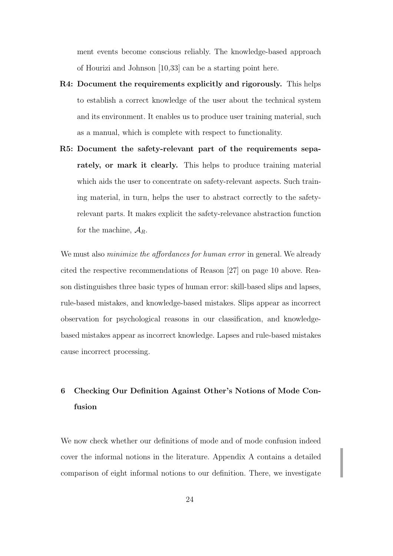ment events become conscious reliably. The knowledge-based approach of Hourizi and Johnson [10,33] can be a starting point here.

- R4: Document the requirements explicitly and rigorously. This helps to establish a correct knowledge of the user about the technical system and its environment. It enables us to produce user training material, such as a manual, which is complete with respect to functionality.
- R5: Document the safety-relevant part of the requirements separately, or mark it clearly. This helps to produce training material which aids the user to concentrate on safety-relevant aspects. Such training material, in turn, helps the user to abstract correctly to the safetyrelevant parts. It makes explicit the safety-relevance abstraction function for the machine,  $A_R$ .

We must also *minimize the affordances for human error* in general. We already cited the respective recommendations of Reason [27] on page 10 above. Reason distinguishes three basic types of human error: skill-based slips and lapses, rule-based mistakes, and knowledge-based mistakes. Slips appear as incorrect observation for psychological reasons in our classification, and knowledgebased mistakes appear as incorrect knowledge. Lapses and rule-based mistakes cause incorrect processing.

# 6 Checking Our Definition Against Other's Notions of Mode Confusion

We now check whether our definitions of mode and of mode confusion indeed cover the informal notions in the literature. Appendix A contains a detailed comparison of eight informal notions to our definition. There, we investigate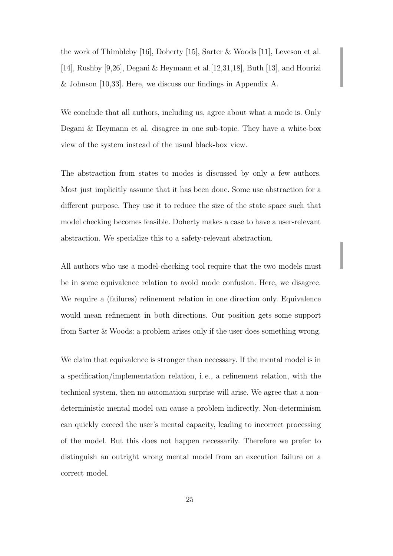the work of Thimbleby [16], Doherty [15], Sarter & Woods [11], Leveson et al. [14], Rushby [9,26], Degani & Heymann et al. [12,31,18], Buth [13], and Hourizi & Johnson [10,33]. Here, we discuss our findings in Appendix A.

We conclude that all authors, including us, agree about what a mode is. Only Degani & Heymann et al. disagree in one sub-topic. They have a white-box view of the system instead of the usual black-box view.

The abstraction from states to modes is discussed by only a few authors. Most just implicitly assume that it has been done. Some use abstraction for a different purpose. They use it to reduce the size of the state space such that model checking becomes feasible. Doherty makes a case to have a user-relevant abstraction. We specialize this to a safety-relevant abstraction.

All authors who use a model-checking tool require that the two models must be in some equivalence relation to avoid mode confusion. Here, we disagree. We require a (failures) refinement relation in one direction only. Equivalence would mean refinement in both directions. Our position gets some support from Sarter & Woods: a problem arises only if the user does something wrong.

We claim that equivalence is stronger than necessary. If the mental model is in a specification/implementation relation, i. e., a refinement relation, with the technical system, then no automation surprise will arise. We agree that a nondeterministic mental model can cause a problem indirectly. Non-determinism can quickly exceed the user's mental capacity, leading to incorrect processing of the model. But this does not happen necessarily. Therefore we prefer to distinguish an outright wrong mental model from an execution failure on a correct model.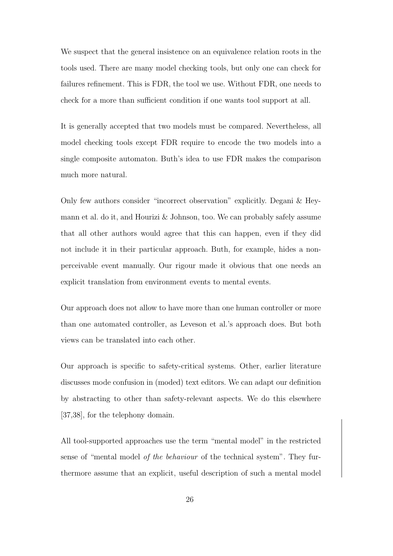We suspect that the general insistence on an equivalence relation roots in the tools used. There are many model checking tools, but only one can check for failures refinement. This is FDR, the tool we use. Without FDR, one needs to check for a more than sufficient condition if one wants tool support at all.

It is generally accepted that two models must be compared. Nevertheless, all model checking tools except FDR require to encode the two models into a single composite automaton. Buth's idea to use FDR makes the comparison much more natural.

Only few authors consider "incorrect observation" explicitly. Degani & Heymann et al. do it, and Hourizi & Johnson, too. We can probably safely assume that all other authors would agree that this can happen, even if they did not include it in their particular approach. Buth, for example, hides a nonperceivable event manually. Our rigour made it obvious that one needs an explicit translation from environment events to mental events.

Our approach does not allow to have more than one human controller or more than one automated controller, as Leveson et al.'s approach does. But both views can be translated into each other.

Our approach is specific to safety-critical systems. Other, earlier literature discusses mode confusion in (moded) text editors. We can adapt our definition by abstracting to other than safety-relevant aspects. We do this elsewhere [37,38], for the telephony domain.

All tool-supported approaches use the term "mental model" in the restricted sense of "mental model of the behaviour of the technical system". They furthermore assume that an explicit, useful description of such a mental model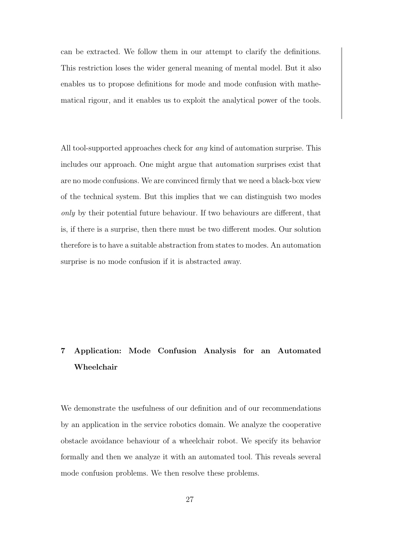can be extracted. We follow them in our attempt to clarify the definitions. This restriction loses the wider general meaning of mental model. But it also enables us to propose definitions for mode and mode confusion with mathematical rigour, and it enables us to exploit the analytical power of the tools.

All tool-supported approaches check for any kind of automation surprise. This includes our approach. One might argue that automation surprises exist that are no mode confusions. We are convinced firmly that we need a black-box view of the technical system. But this implies that we can distinguish two modes only by their potential future behaviour. If two behaviours are different, that is, if there is a surprise, then there must be two different modes. Our solution therefore is to have a suitable abstraction from states to modes. An automation surprise is no mode confusion if it is abstracted away.

# 7 Application: Mode Confusion Analysis for an Automated Wheelchair

We demonstrate the usefulness of our definition and of our recommendations by an application in the service robotics domain. We analyze the cooperative obstacle avoidance behaviour of a wheelchair robot. We specify its behavior formally and then we analyze it with an automated tool. This reveals several mode confusion problems. We then resolve these problems.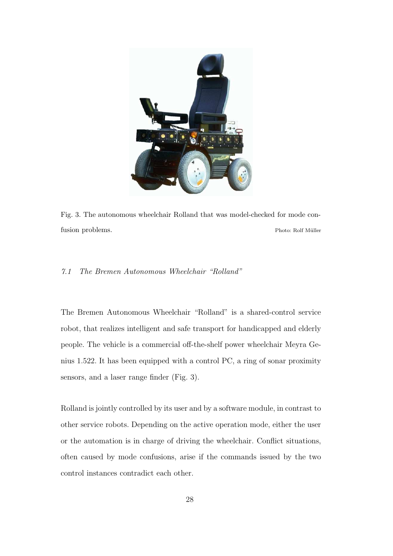

Fig. 3. The autonomous wheelchair Rolland that was model-checked for mode confusion problems. Photo: Rolf Müller

#### 7.1 The Bremen Autonomous Wheelchair "Rolland"

The Bremen Autonomous Wheelchair "Rolland" is a shared-control service robot, that realizes intelligent and safe transport for handicapped and elderly people. The vehicle is a commercial off-the-shelf power wheelchair Meyra Genius 1.522. It has been equipped with a control PC, a ring of sonar proximity sensors, and a laser range finder (Fig. 3).

Rolland is jointly controlled by its user and by a software module, in contrast to other service robots. Depending on the active operation mode, either the user or the automation is in charge of driving the wheelchair. Conflict situations, often caused by mode confusions, arise if the commands issued by the two control instances contradict each other.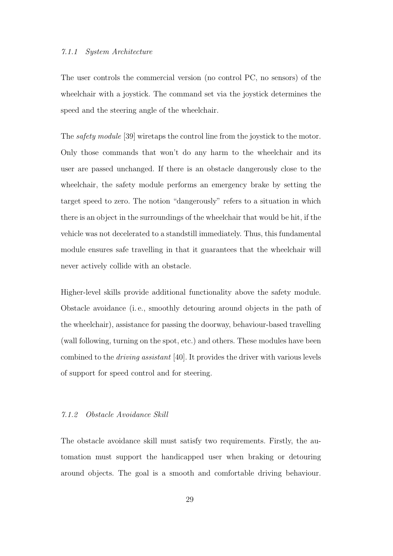#### 7.1.1 System Architecture

The user controls the commercial version (no control PC, no sensors) of the wheelchair with a joystick. The command set via the joystick determines the speed and the steering angle of the wheelchair.

The *safety module* [39] wiretaps the control line from the joystick to the motor. Only those commands that won't do any harm to the wheelchair and its user are passed unchanged. If there is an obstacle dangerously close to the wheelchair, the safety module performs an emergency brake by setting the target speed to zero. The notion "dangerously" refers to a situation in which there is an object in the surroundings of the wheelchair that would be hit, if the vehicle was not decelerated to a standstill immediately. Thus, this fundamental module ensures safe travelling in that it guarantees that the wheelchair will never actively collide with an obstacle.

Higher-level skills provide additional functionality above the safety module. Obstacle avoidance (i. e., smoothly detouring around objects in the path of the wheelchair), assistance for passing the doorway, behaviour-based travelling (wall following, turning on the spot, etc.) and others. These modules have been combined to the driving assistant [40]. It provides the driver with various levels of support for speed control and for steering.

# 7.1.2 Obstacle Avoidance Skill

The obstacle avoidance skill must satisfy two requirements. Firstly, the automation must support the handicapped user when braking or detouring around objects. The goal is a smooth and comfortable driving behaviour.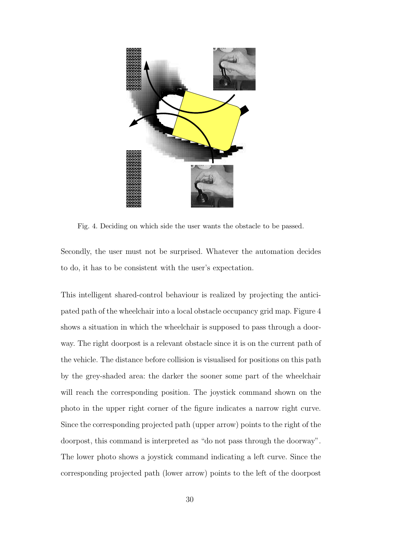

Fig. 4. Deciding on which side the user wants the obstacle to be passed.

Secondly, the user must not be surprised. Whatever the automation decides to do, it has to be consistent with the user's expectation.

This intelligent shared-control behaviour is realized by projecting the anticipated path of the wheelchair into a local obstacle occupancy grid map. Figure 4 shows a situation in which the wheelchair is supposed to pass through a doorway. The right doorpost is a relevant obstacle since it is on the current path of the vehicle. The distance before collision is visualised for positions on this path by the grey-shaded area: the darker the sooner some part of the wheelchair will reach the corresponding position. The joystick command shown on the photo in the upper right corner of the figure indicates a narrow right curve. Since the corresponding projected path (upper arrow) points to the right of the doorpost, this command is interpreted as "do not pass through the doorway". The lower photo shows a joystick command indicating a left curve. Since the corresponding projected path (lower arrow) points to the left of the doorpost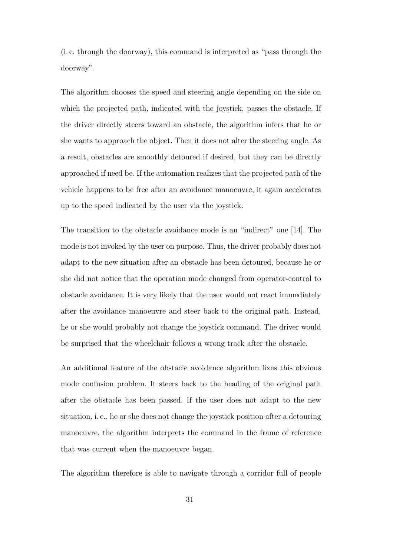(i. e. through the doorway), this command is interpreted as "pass through the doorway".

The algorithm chooses the speed and steering angle depending on the side on which the projected path, indicated with the joystick, passes the obstacle. If the driver directly steers toward an obstacle, the algorithm infers that he or she wants to approach the object. Then it does not alter the steering angle. As a result, obstacles are smoothly detoured if desired, but they can be directly approached if need be. If the automation realizes that the projected path of the vehicle happens to be free after an avoidance manoeuvre, it again accelerates up to the speed indicated by the user via the joystick.

The transition to the obstacle avoidance mode is an "indirect" one [14]. The mode is not invoked by the user on purpose. Thus, the driver probably does not adapt to the new situation after an obstacle has been detoured, because he or she did not notice that the operation mode changed from operator-control to obstacle avoidance. It is very likely that the user would not react immediately after the avoidance manoeuvre and steer back to the original path. Instead, he or she would probably not change the joystick command. The driver would be surprised that the wheelchair follows a wrong track after the obstacle.

An additional feature of the obstacle avoidance algorithm fixes this obvious mode confusion problem. It steers back to the heading of the original path after the obstacle has been passed. If the user does not adapt to the new situation, i. e., he or she does not change the joystick position after a detouring manoeuvre, the algorithm interprets the command in the frame of reference that was current when the manoeuvre began.

The algorithm therefore is able to navigate through a corridor full of people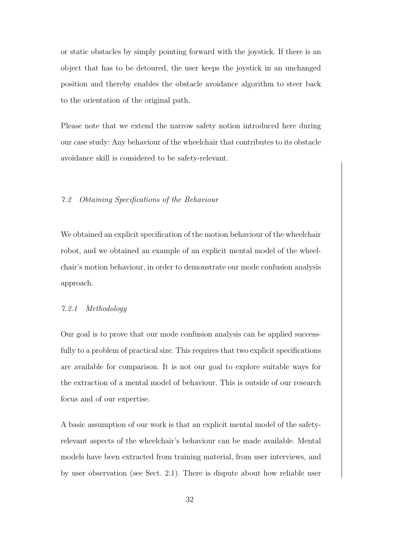or static obstacles by simply pointing forward with the joystick. If there is an object that has to be detoured, the user keeps the joystick in an unchanged position and thereby enables the obstacle avoidance algorithm to steer back to the orientation of the original path.

Please note that we extend the narrow safety notion introduced here during our case study: Any behaviour of the wheelchair that contributes to its obstacle avoidance skill is considered to be safety-relevant.

### 7.2 Obtaining Specifications of the Behaviour

We obtained an explicit specification of the motion behaviour of the wheelchair robot, and we obtained an example of an explicit mental model of the wheelchair's motion behaviour, in order to demonstrate our mode confusion analysis approach.

# 7.2.1 Methodology

Our goal is to prove that our mode confusion analysis can be applied successfully to a problem of practical size. This requires that two explicit specifications are available for comparison. It is not our goal to explore suitable ways for the extraction of a mental model of behaviour. This is outside of our research focus and of our expertise.

A basic assumption of our work is that an explicit mental model of the safetyrelevant aspects of the wheelchair's behaviour can be made available. Mental models have been extracted from training material, from user interviews, and by user observation (see Sect. 2.1). There is dispute about how reliable user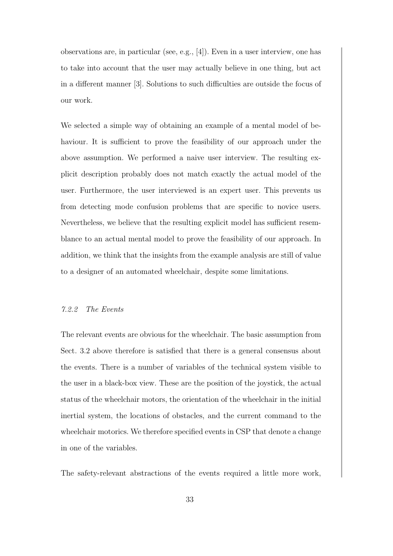observations are, in particular (see, e.g., [4]). Even in a user interview, one has to take into account that the user may actually believe in one thing, but act in a different manner [3]. Solutions to such difficulties are outside the focus of our work.

We selected a simple way of obtaining an example of a mental model of behaviour. It is sufficient to prove the feasibility of our approach under the above assumption. We performed a naive user interview. The resulting explicit description probably does not match exactly the actual model of the user. Furthermore, the user interviewed is an expert user. This prevents us from detecting mode confusion problems that are specific to novice users. Nevertheless, we believe that the resulting explicit model has sufficient resemblance to an actual mental model to prove the feasibility of our approach. In addition, we think that the insights from the example analysis are still of value to a designer of an automated wheelchair, despite some limitations.

#### 7.2.2 The Events

The relevant events are obvious for the wheelchair. The basic assumption from Sect. 3.2 above therefore is satisfied that there is a general consensus about the events. There is a number of variables of the technical system visible to the user in a black-box view. These are the position of the joystick, the actual status of the wheelchair motors, the orientation of the wheelchair in the initial inertial system, the locations of obstacles, and the current command to the wheelchair motorics. We therefore specified events in CSP that denote a change in one of the variables.

The safety-relevant abstractions of the events required a little more work,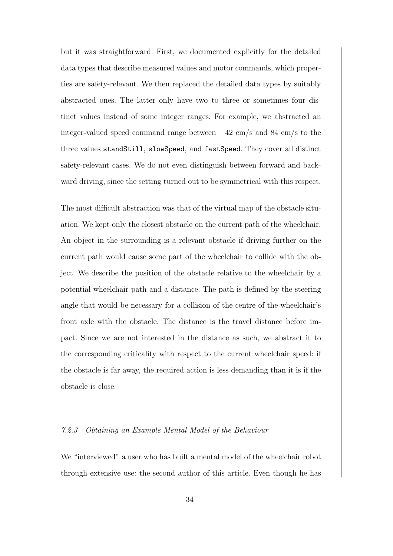but it was straightforward. First, we documented explicitly for the detailed data types that describe measured values and motor commands, which properties are safety-relevant. We then replaced the detailed data types by suitably abstracted ones. The latter only have two to three or sometimes four distinct values instead of some integer ranges. For example, we abstracted an integer-valued speed command range between  $-42 \text{ cm/s}$  and 84 cm/s to the three values standStill, slowSpeed, and fastSpeed. They cover all distinct safety-relevant cases. We do not even distinguish between forward and backward driving, since the setting turned out to be symmetrical with this respect.

The most difficult abstraction was that of the virtual map of the obstacle situation. We kept only the closest obstacle on the current path of the wheelchair. An object in the surrounding is a relevant obstacle if driving further on the current path would cause some part of the wheelchair to collide with the object. We describe the position of the obstacle relative to the wheelchair by a potential wheelchair path and a distance. The path is defined by the steering angle that would be necessary for a collision of the centre of the wheelchair's front axle with the obstacle. The distance is the travel distance before impact. Since we are not interested in the distance as such, we abstract it to the corresponding criticality with respect to the current wheelchair speed: if the obstacle is far away, the required action is less demanding than it is if the obstacle is close.

# 7.2.3 Obtaining an Example Mental Model of the Behaviour

We "interviewed" a user who has built a mental model of the wheelchair robot through extensive use: the second author of this article. Even though he has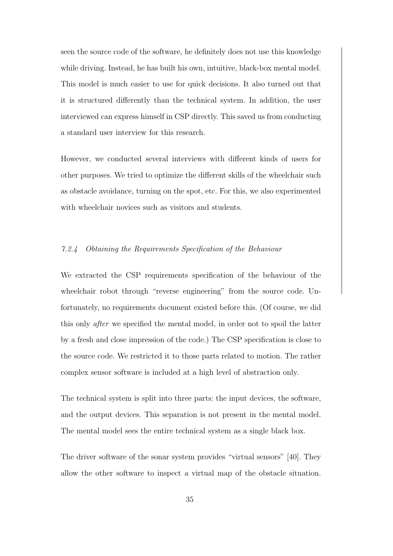seen the source code of the software, he definitely does not use this knowledge while driving. Instead, he has built his own, intuitive, black-box mental model. This model is much easier to use for quick decisions. It also turned out that it is structured differently than the technical system. In addition, the user interviewed can express himself in CSP directly. This saved us from conducting a standard user interview for this research.

However, we conducted several interviews with different kinds of users for other purposes. We tried to optimize the different skills of the wheelchair such as obstacle avoidance, turning on the spot, etc. For this, we also experimented with wheelchair novices such as visitors and students.

# 7.2.4 Obtaining the Requirements Specification of the Behaviour

We extracted the CSP requirements specification of the behaviour of the wheelchair robot through "reverse engineering" from the source code. Unfortunately, no requirements document existed before this. (Of course, we did this only after we specified the mental model, in order not to spoil the latter by a fresh and close impression of the code.) The CSP specification is close to the source code. We restricted it to those parts related to motion. The rather complex sensor software is included at a high level of abstraction only.

The technical system is split into three parts: the input devices, the software, and the output devices. This separation is not present in the mental model. The mental model sees the entire technical system as a single black box.

The driver software of the sonar system provides "virtual sensors" [40]. They allow the other software to inspect a virtual map of the obstacle situation.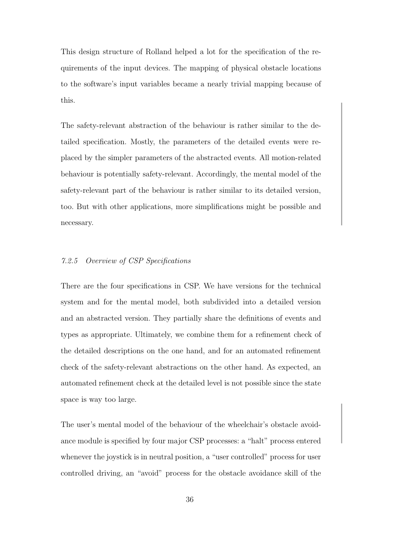This design structure of Rolland helped a lot for the specification of the requirements of the input devices. The mapping of physical obstacle locations to the software's input variables became a nearly trivial mapping because of this.

The safety-relevant abstraction of the behaviour is rather similar to the detailed specification. Mostly, the parameters of the detailed events were replaced by the simpler parameters of the abstracted events. All motion-related behaviour is potentially safety-relevant. Accordingly, the mental model of the safety-relevant part of the behaviour is rather similar to its detailed version, too. But with other applications, more simplifications might be possible and necessary.

# 7.2.5 Overview of CSP Specifications

There are the four specifications in CSP. We have versions for the technical system and for the mental model, both subdivided into a detailed version and an abstracted version. They partially share the definitions of events and types as appropriate. Ultimately, we combine them for a refinement check of the detailed descriptions on the one hand, and for an automated refinement check of the safety-relevant abstractions on the other hand. As expected, an automated refinement check at the detailed level is not possible since the state space is way too large.

The user's mental model of the behaviour of the wheelchair's obstacle avoidance module is specified by four major CSP processes: a "halt" process entered whenever the joystick is in neutral position, a "user controlled" process for user controlled driving, an "avoid" process for the obstacle avoidance skill of the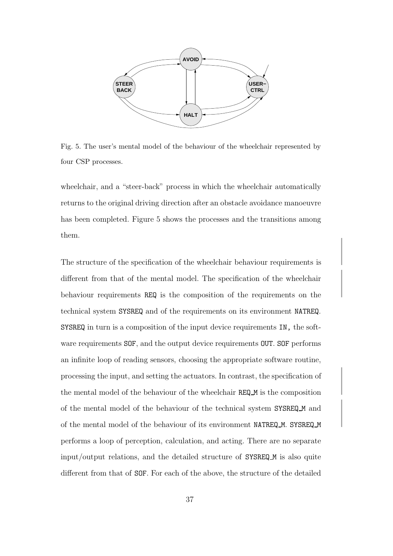

Fig. 5. The user's mental model of the behaviour of the wheelchair represented by four CSP processes.

wheelchair, and a "steer-back" process in which the wheelchair automatically returns to the original driving direction after an obstacle avoidance manoeuvre has been completed. Figure 5 shows the processes and the transitions among them.

The structure of the specification of the wheelchair behaviour requirements is different from that of the mental model. The specification of the wheelchair behaviour requirements REQ is the composition of the requirements on the technical system SYSREQ and of the requirements on its environment NATREQ. SYSREQ in turn is a composition of the input device requirements IN, the software requirements SOF, and the output device requirements OUT. SOF performs an infinite loop of reading sensors, choosing the appropriate software routine, processing the input, and setting the actuators. In contrast, the specification of the mental model of the behaviour of the wheelchair REQ M is the composition of the mental model of the behaviour of the technical system SYSREQ M and of the mental model of the behaviour of its environment NATREQ M. SYSREQ M performs a loop of perception, calculation, and acting. There are no separate input/output relations, and the detailed structure of SYSREQ M is also quite different from that of SOF. For each of the above, the structure of the detailed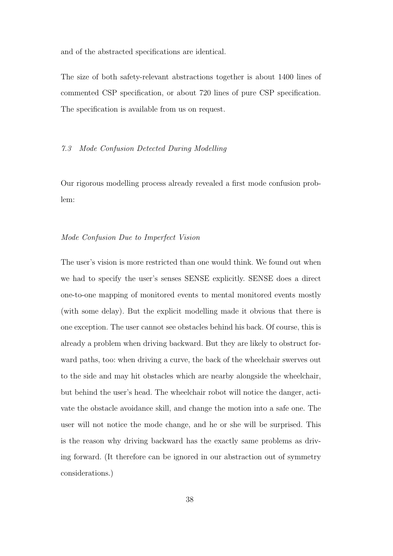and of the abstracted specifications are identical.

The size of both safety-relevant abstractions together is about 1400 lines of commented CSP specification, or about 720 lines of pure CSP specification. The specification is available from us on request.

# 7.3 Mode Confusion Detected During Modelling

Our rigorous modelling process already revealed a first mode confusion problem:

## Mode Confusion Due to Imperfect Vision

The user's vision is more restricted than one would think. We found out when we had to specify the user's senses SENSE explicitly. SENSE does a direct one-to-one mapping of monitored events to mental monitored events mostly (with some delay). But the explicit modelling made it obvious that there is one exception. The user cannot see obstacles behind his back. Of course, this is already a problem when driving backward. But they are likely to obstruct forward paths, too: when driving a curve, the back of the wheelchair swerves out to the side and may hit obstacles which are nearby alongside the wheelchair, but behind the user's head. The wheelchair robot will notice the danger, activate the obstacle avoidance skill, and change the motion into a safe one. The user will not notice the mode change, and he or she will be surprised. This is the reason why driving backward has the exactly same problems as driving forward. (It therefore can be ignored in our abstraction out of symmetry considerations.)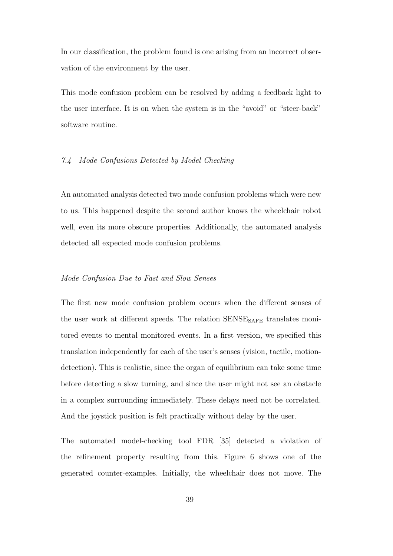In our classification, the problem found is one arising from an incorrect observation of the environment by the user.

This mode confusion problem can be resolved by adding a feedback light to the user interface. It is on when the system is in the "avoid" or "steer-back" software routine.

#### 7.4 Mode Confusions Detected by Model Checking

An automated analysis detected two mode confusion problems which were new to us. This happened despite the second author knows the wheelchair robot well, even its more obscure properties. Additionally, the automated analysis detected all expected mode confusion problems.

# Mode Confusion Due to Fast and Slow Senses

The first new mode confusion problem occurs when the different senses of the user work at different speeds. The relation  $SENSE<sub>SAFE</sub>$  translates monitored events to mental monitored events. In a first version, we specified this translation independently for each of the user's senses (vision, tactile, motiondetection). This is realistic, since the organ of equilibrium can take some time before detecting a slow turning, and since the user might not see an obstacle in a complex surrounding immediately. These delays need not be correlated. And the joystick position is felt practically without delay by the user.

The automated model-checking tool FDR [35] detected a violation of the refinement property resulting from this. Figure 6 shows one of the generated counter-examples. Initially, the wheelchair does not move. The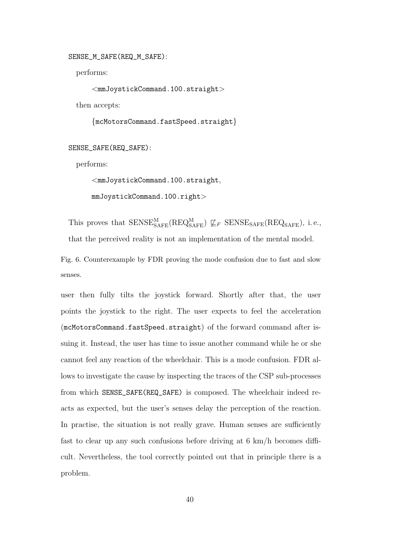SENSE\_M\_SAFE(REQ\_M\_SAFE):

performs:

<mmJoystickCommand.100.straight>

then accepts:

{mcMotorsCommand.fastSpeed.straight}

SENSE\_SAFE(REQ\_SAFE):

performs:

<mmJoystickCommand.100.straight,

mmJoystickCommand.100.right>

This proves that  $SENSE_{SAFE}^{M}(REQ_{SAFE}^{M}) \not\sqsubseteq_F SENSE_{SAFE}(REQ_{SAFE})$ , i.e.,

that the perceived reality is not an implementation of the mental model.

Fig. 6. Counterexample by FDR proving the mode confusion due to fast and slow senses.

user then fully tilts the joystick forward. Shortly after that, the user points the joystick to the right. The user expects to feel the acceleration (mcMotorsCommand.fastSpeed.straight) of the forward command after issuing it. Instead, the user has time to issue another command while he or she cannot feel any reaction of the wheelchair. This is a mode confusion. FDR allows to investigate the cause by inspecting the traces of the CSP sub-processes from which SENSE\_SAFE(REQ\_SAFE) is composed. The wheelchair indeed reacts as expected, but the user's senses delay the perception of the reaction. In practise, the situation is not really grave. Human senses are sufficiently fast to clear up any such confusions before driving at 6 km/h becomes difficult. Nevertheless, the tool correctly pointed out that in principle there is a problem.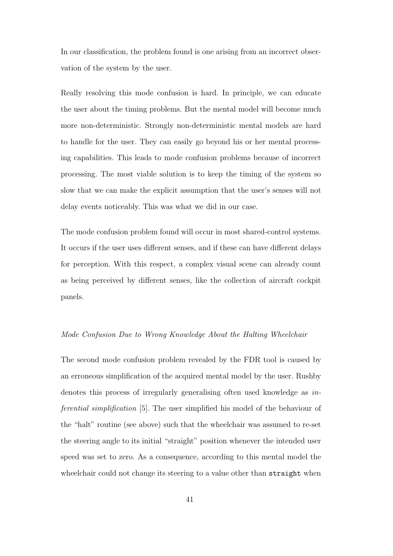In our classification, the problem found is one arising from an incorrect observation of the system by the user.

Really resolving this mode confusion is hard. In principle, we can educate the user about the timing problems. But the mental model will become much more non-deterministic. Strongly non-deterministic mental models are hard to handle for the user. They can easily go beyond his or her mental processing capabilities. This leads to mode confusion problems because of incorrect processing. The most viable solution is to keep the timing of the system so slow that we can make the explicit assumption that the user's senses will not delay events noticeably. This was what we did in our case.

The mode confusion problem found will occur in most shared-control systems. It occurs if the user uses different senses, and if these can have different delays for perception. With this respect, a complex visual scene can already count as being perceived by different senses, like the collection of aircraft cockpit panels.

#### Mode Confusion Due to Wrong Knowledge About the Halting Wheelchair

The second mode confusion problem revealed by the FDR tool is caused by an erroneous simplification of the acquired mental model by the user. Rushby denotes this process of irregularly generalising often used knowledge as inferential simplification [5]. The user simplified his model of the behaviour of the "halt" routine (see above) such that the wheelchair was assumed to re-set the steering angle to its initial "straight" position whenever the intended user speed was set to zero. As a consequence, according to this mental model the wheelchair could not change its steering to a value other than straight when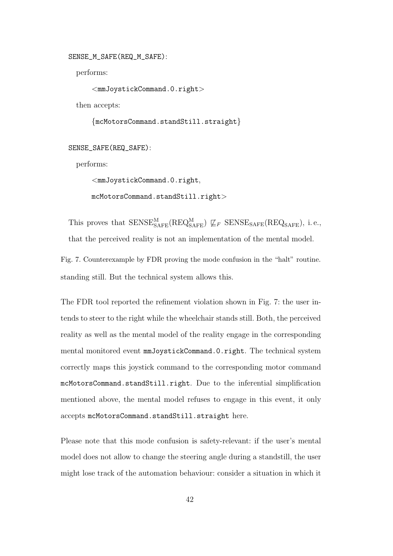SENSE\_M\_SAFE(REQ\_M\_SAFE):

performs:

<mmJoystickCommand.0.right>

then accepts:

{mcMotorsCommand.standStill.straight}

SENSE\_SAFE(REQ\_SAFE):

performs:

<mmJoystickCommand.0.right,

mcMotorsCommand.standStill.right>

This proves that  $SENSE_{SAFE}^{M}(REQ_{SAFE}^{M}) \not\sqsubseteq_F SENSE_{SAFE}(REQ_{SAFE})$ , i.e., that the perceived reality is not an implementation of the mental model.

Fig. 7. Counterexample by FDR proving the mode confusion in the "halt" routine. standing still. But the technical system allows this.

The FDR tool reported the refinement violation shown in Fig. 7: the user intends to steer to the right while the wheelchair stands still. Both, the perceived reality as well as the mental model of the reality engage in the corresponding mental monitored event mmJoystickCommand.0.right. The technical system correctly maps this joystick command to the corresponding motor command mcMotorsCommand.standStill.right. Due to the inferential simplification mentioned above, the mental model refuses to engage in this event, it only accepts mcMotorsCommand.standStill.straight here.

Please note that this mode confusion is safety-relevant: if the user's mental model does not allow to change the steering angle during a standstill, the user might lose track of the automation behaviour: consider a situation in which it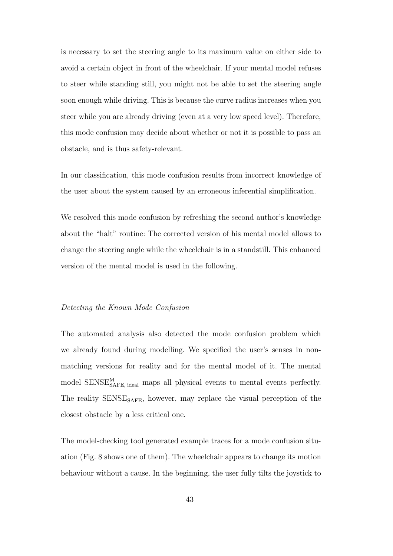is necessary to set the steering angle to its maximum value on either side to avoid a certain object in front of the wheelchair. If your mental model refuses to steer while standing still, you might not be able to set the steering angle soon enough while driving. This is because the curve radius increases when you steer while you are already driving (even at a very low speed level). Therefore, this mode confusion may decide about whether or not it is possible to pass an obstacle, and is thus safety-relevant.

In our classification, this mode confusion results from incorrect knowledge of the user about the system caused by an erroneous inferential simplification.

We resolved this mode confusion by refreshing the second author's knowledge about the "halt" routine: The corrected version of his mental model allows to change the steering angle while the wheelchair is in a standstill. This enhanced version of the mental model is used in the following.

#### Detecting the Known Mode Confusion

The automated analysis also detected the mode confusion problem which we already found during modelling. We specified the user's senses in nonmatching versions for reality and for the mental model of it. The mental model  $\text{SENSE}_{\text{SAFE, ideal}}^{\text{M}}$  maps all physical events to mental events perfectly. The reality SENSE<sub>SAFE</sub>, however, may replace the visual perception of the closest obstacle by a less critical one.

The model-checking tool generated example traces for a mode confusion situation (Fig. 8 shows one of them). The wheelchair appears to change its motion behaviour without a cause. In the beginning, the user fully tilts the joystick to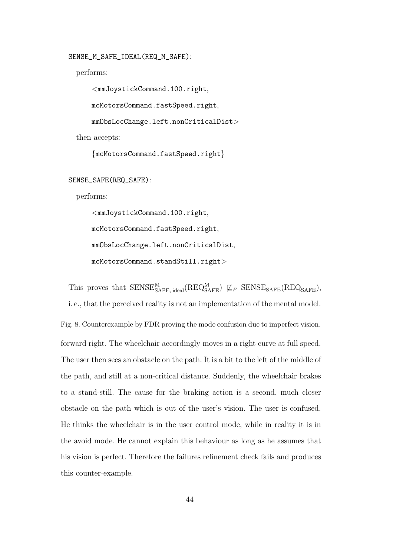SENSE\_M\_SAFE\_IDEAL(REQ\_M\_SAFE):

performs:

<mmJoystickCommand.100.right,

mcMotorsCommand.fastSpeed.right,

mmObsLocChange.left.nonCriticalDist>

then accepts:

{mcMotorsCommand.fastSpeed.right}

SENSE\_SAFE(REQ\_SAFE):

performs:

<mmJoystickCommand.100.right, mcMotorsCommand.fastSpeed.right, mmObsLocChange.left.nonCriticalDist, mcMotorsCommand.standStill.right>

This proves that  $\text{SENSE}_{\text{SAFE, ideal}}^{\text{M}}(\text{REQ}_{\text{SAFE}}^{\text{M}}) \not\sqsubseteq_{F} \text{SENSE}_{\text{SAFE}}(\text{REQ}_{\text{SAFE}})$ , i. e., that the perceived reality is not an implementation of the mental model. Fig. 8. Counterexample by FDR proving the mode confusion due to imperfect vision. forward right. The wheelchair accordingly moves in a right curve at full speed. The user then sees an obstacle on the path. It is a bit to the left of the middle of the path, and still at a non-critical distance. Suddenly, the wheelchair brakes to a stand-still. The cause for the braking action is a second, much closer obstacle on the path which is out of the user's vision. The user is confused. He thinks the wheelchair is in the user control mode, while in reality it is in the avoid mode. He cannot explain this behaviour as long as he assumes that his vision is perfect. Therefore the failures refinement check fails and produces this counter-example.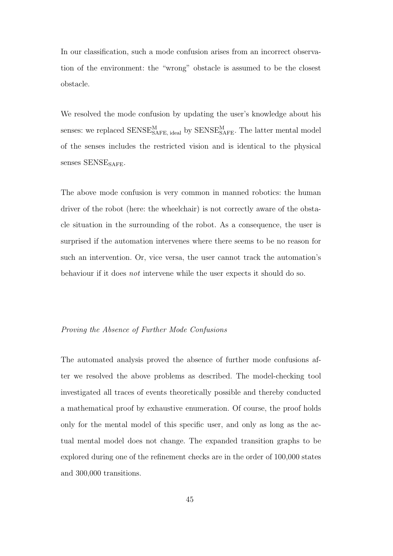In our classification, such a mode confusion arises from an incorrect observation of the environment: the "wrong" obstacle is assumed to be the closest obstacle.

We resolved the mode confusion by updating the user's knowledge about his senses: we replaced  $\text{SENSE}_{\text{SAFE, ideal}}^{\text{M}}$  by  $\text{SENSE}_{\text{SAFE}}^{\text{M}}$ . The latter mental model of the senses includes the restricted vision and is identical to the physical senses  $SENSE<sub>SAFE</sub>$ .

The above mode confusion is very common in manned robotics: the human driver of the robot (here: the wheelchair) is not correctly aware of the obstacle situation in the surrounding of the robot. As a consequence, the user is surprised if the automation intervenes where there seems to be no reason for such an intervention. Or, vice versa, the user cannot track the automation's behaviour if it does not intervene while the user expects it should do so.

#### Proving the Absence of Further Mode Confusions

The automated analysis proved the absence of further mode confusions after we resolved the above problems as described. The model-checking tool investigated all traces of events theoretically possible and thereby conducted a mathematical proof by exhaustive enumeration. Of course, the proof holds only for the mental model of this specific user, and only as long as the actual mental model does not change. The expanded transition graphs to be explored during one of the refinement checks are in the order of 100,000 states and 300,000 transitions.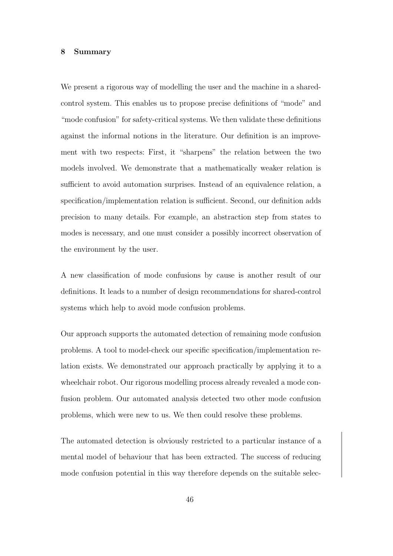#### 8 Summary

We present a rigorous way of modelling the user and the machine in a sharedcontrol system. This enables us to propose precise definitions of "mode" and "mode confusion" for safety-critical systems. We then validate these definitions against the informal notions in the literature. Our definition is an improvement with two respects: First, it "sharpens" the relation between the two models involved. We demonstrate that a mathematically weaker relation is sufficient to avoid automation surprises. Instead of an equivalence relation, a specification/implementation relation is sufficient. Second, our definition adds precision to many details. For example, an abstraction step from states to modes is necessary, and one must consider a possibly incorrect observation of the environment by the user.

A new classification of mode confusions by cause is another result of our definitions. It leads to a number of design recommendations for shared-control systems which help to avoid mode confusion problems.

Our approach supports the automated detection of remaining mode confusion problems. A tool to model-check our specific specification/implementation relation exists. We demonstrated our approach practically by applying it to a wheelchair robot. Our rigorous modelling process already revealed a mode confusion problem. Our automated analysis detected two other mode confusion problems, which were new to us. We then could resolve these problems.

The automated detection is obviously restricted to a particular instance of a mental model of behaviour that has been extracted. The success of reducing mode confusion potential in this way therefore depends on the suitable selec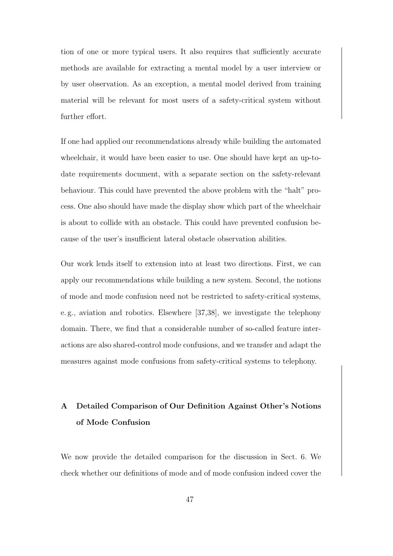tion of one or more typical users. It also requires that sufficiently accurate methods are available for extracting a mental model by a user interview or by user observation. As an exception, a mental model derived from training material will be relevant for most users of a safety-critical system without further effort.

If one had applied our recommendations already while building the automated wheelchair, it would have been easier to use. One should have kept an up-todate requirements document, with a separate section on the safety-relevant behaviour. This could have prevented the above problem with the "halt" process. One also should have made the display show which part of the wheelchair is about to collide with an obstacle. This could have prevented confusion because of the user's insufficient lateral obstacle observation abilities.

Our work lends itself to extension into at least two directions. First, we can apply our recommendations while building a new system. Second, the notions of mode and mode confusion need not be restricted to safety-critical systems, e. g., aviation and robotics. Elsewhere [37,38], we investigate the telephony domain. There, we find that a considerable number of so-called feature interactions are also shared-control mode confusions, and we transfer and adapt the measures against mode confusions from safety-critical systems to telephony.

# A Detailed Comparison of Our Definition Against Other's Notions of Mode Confusion

We now provide the detailed comparison for the discussion in Sect. 6. We check whether our definitions of mode and of mode confusion indeed cover the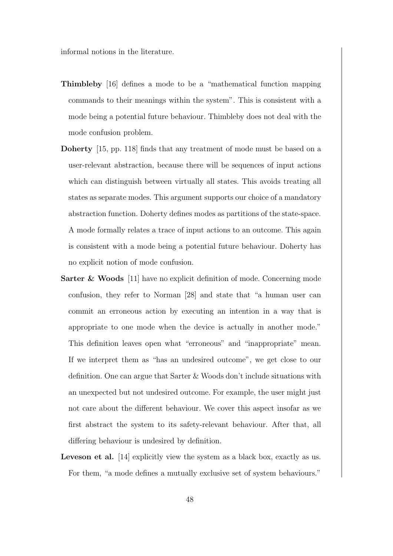informal notions in the literature.

- Thimbleby [16] defines a mode to be a "mathematical function mapping commands to their meanings within the system". This is consistent with a mode being a potential future behaviour. Thimbleby does not deal with the mode confusion problem.
- Doherty [15, pp. 118] finds that any treatment of mode must be based on a user-relevant abstraction, because there will be sequences of input actions which can distinguish between virtually all states. This avoids treating all states as separate modes. This argument supports our choice of a mandatory abstraction function. Doherty defines modes as partitions of the state-space. A mode formally relates a trace of input actions to an outcome. This again is consistent with a mode being a potential future behaviour. Doherty has no explicit notion of mode confusion.
- Sarter & Woods [11] have no explicit definition of mode. Concerning mode confusion, they refer to Norman [28] and state that "a human user can commit an erroneous action by executing an intention in a way that is appropriate to one mode when the device is actually in another mode." This definition leaves open what "erroneous" and "inappropriate" mean. If we interpret them as "has an undesired outcome", we get close to our definition. One can argue that Sarter & Woods don't include situations with an unexpected but not undesired outcome. For example, the user might just not care about the different behaviour. We cover this aspect insofar as we first abstract the system to its safety-relevant behaviour. After that, all differing behaviour is undesired by definition.
- Leveson et al. [14] explicitly view the system as a black box, exactly as us. For them, "a mode defines a mutually exclusive set of system behaviours."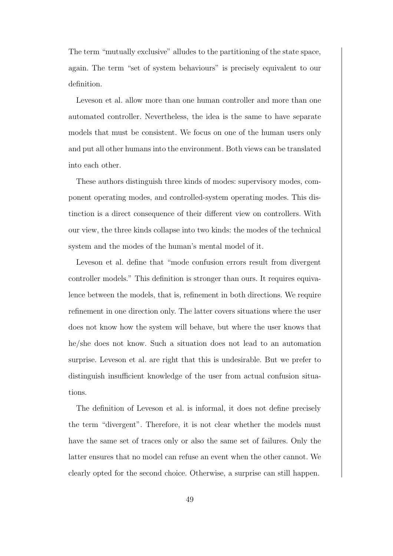The term "mutually exclusive" alludes to the partitioning of the state space, again. The term "set of system behaviours" is precisely equivalent to our definition.

Leveson et al. allow more than one human controller and more than one automated controller. Nevertheless, the idea is the same to have separate models that must be consistent. We focus on one of the human users only and put all other humans into the environment. Both views can be translated into each other.

These authors distinguish three kinds of modes: supervisory modes, component operating modes, and controlled-system operating modes. This distinction is a direct consequence of their different view on controllers. With our view, the three kinds collapse into two kinds: the modes of the technical system and the modes of the human's mental model of it.

Leveson et al. define that "mode confusion errors result from divergent controller models." This definition is stronger than ours. It requires equivalence between the models, that is, refinement in both directions. We require refinement in one direction only. The latter covers situations where the user does not know how the system will behave, but where the user knows that he/she does not know. Such a situation does not lead to an automation surprise. Leveson et al. are right that this is undesirable. But we prefer to distinguish insufficient knowledge of the user from actual confusion situations.

The definition of Leveson et al. is informal, it does not define precisely the term "divergent". Therefore, it is not clear whether the models must have the same set of traces only or also the same set of failures. Only the latter ensures that no model can refuse an event when the other cannot. We clearly opted for the second choice. Otherwise, a surprise can still happen.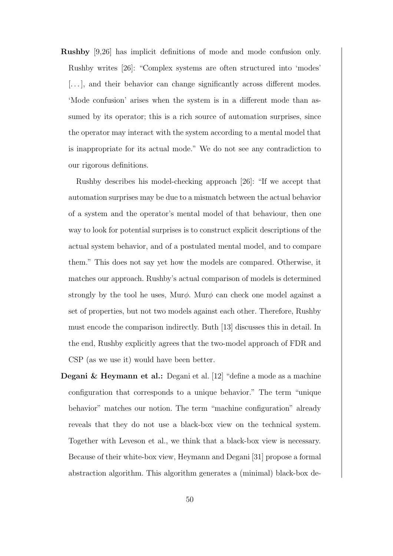Rushby [9,26] has implicit definitions of mode and mode confusion only. Rushby writes [26]: "Complex systems are often structured into 'modes'  $[\ldots]$ , and their behavior can change significantly across different modes. 'Mode confusion' arises when the system is in a different mode than assumed by its operator; this is a rich source of automation surprises, since the operator may interact with the system according to a mental model that is inappropriate for its actual mode." We do not see any contradiction to our rigorous definitions.

Rushby describes his model-checking approach [26]: "If we accept that automation surprises may be due to a mismatch between the actual behavior of a system and the operator's mental model of that behaviour, then one way to look for potential surprises is to construct explicit descriptions of the actual system behavior, and of a postulated mental model, and to compare them." This does not say yet how the models are compared. Otherwise, it matches our approach. Rushby's actual comparison of models is determined strongly by the tool he uses, Mur $\phi$ . Mur $\phi$  can check one model against a set of properties, but not two models against each other. Therefore, Rushby must encode the comparison indirectly. Buth [13] discusses this in detail. In the end, Rushby explicitly agrees that the two-model approach of FDR and CSP (as we use it) would have been better.

Degani & Heymann et al.: Degani et al. [12] "define a mode as a machine configuration that corresponds to a unique behavior." The term "unique behavior" matches our notion. The term "machine configuration" already reveals that they do not use a black-box view on the technical system. Together with Leveson et al., we think that a black-box view is necessary. Because of their white-box view, Heymann and Degani [31] propose a formal abstraction algorithm. This algorithm generates a (minimal) black-box de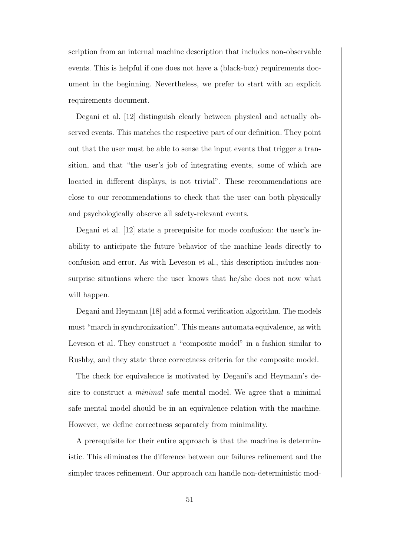scription from an internal machine description that includes non-observable events. This is helpful if one does not have a (black-box) requirements document in the beginning. Nevertheless, we prefer to start with an explicit requirements document.

Degani et al. [12] distinguish clearly between physical and actually observed events. This matches the respective part of our definition. They point out that the user must be able to sense the input events that trigger a transition, and that "the user's job of integrating events, some of which are located in different displays, is not trivial". These recommendations are close to our recommendations to check that the user can both physically and psychologically observe all safety-relevant events.

Degani et al. [12] state a prerequisite for mode confusion: the user's inability to anticipate the future behavior of the machine leads directly to confusion and error. As with Leveson et al., this description includes nonsurprise situations where the user knows that he/she does not now what will happen.

Degani and Heymann [18] add a formal verification algorithm. The models must "march in synchronization". This means automata equivalence, as with Leveson et al. They construct a "composite model" in a fashion similar to Rushby, and they state three correctness criteria for the composite model.

The check for equivalence is motivated by Degani's and Heymann's desire to construct a minimal safe mental model. We agree that a minimal safe mental model should be in an equivalence relation with the machine. However, we define correctness separately from minimality.

A prerequisite for their entire approach is that the machine is deterministic. This eliminates the difference between our failures refinement and the simpler traces refinement. Our approach can handle non-deterministic mod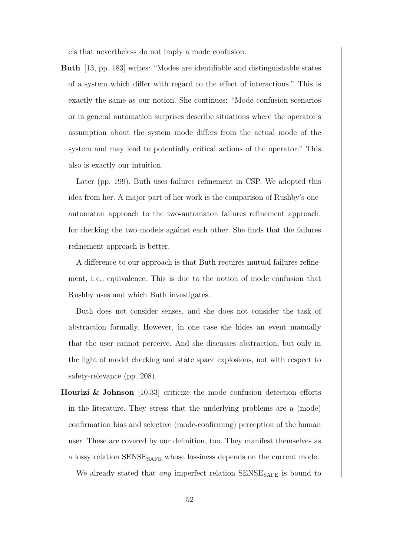els that nevertheless do not imply a mode confusion.

Buth [13, pp. 183] writes: "Modes are identifiable and distinguishable states of a system which differ with regard to the effect of interactions." This is exactly the same as our notion. She continues: "Mode confusion scenarios or in general automation surprises describe situations where the operator's assumption about the system mode differs from the actual mode of the system and may lead to potentially critical actions of the operator." This also is exactly our intuition.

Later (pp. 199), Buth uses failures refinement in CSP. We adopted this idea from her. A major part of her work is the comparison of Rushby's oneautomaton approach to the two-automaton failures refinement approach, for checking the two models against each other. She finds that the failures refinement approach is better.

A difference to our approach is that Buth requires mutual failures refinement, i. e., equivalence. This is due to the notion of mode confusion that Rushby uses and which Buth investigates.

Buth does not consider senses, and she does not consider the task of abstraction formally. However, in one case she hides an event manually that the user cannot perceive. And she discusses abstraction, but only in the light of model checking and state space explosions, not with respect to safety-relevance (pp. 208).

**Hourizi & Johnson** [10,33] criticize the mode confusion detection efforts in the literature. They stress that the underlying problems are a (mode) confirmation bias and selective (mode-confirming) perception of the human user. These are covered by our definition, too. They manifest themselves as a lossy relation  $SENSE<sub>SAFE</sub>$  whose lossiness depends on the current mode.

We already stated that *any* imperfect relation  $SENSE<sub>SAFF</sub>$  is bound to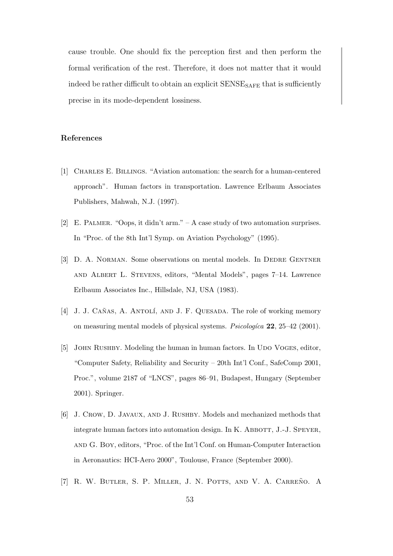cause trouble. One should fix the perception first and then perform the formal verification of the rest. Therefore, it does not matter that it would indeed be rather difficult to obtain an explicit  $SENSE<sub>SAFF</sub>$  that is sufficiently precise in its mode-dependent lossiness.

#### References

- [1] Charles E. Billings. "Aviation automation: the search for a human-centered approach". Human factors in transportation. Lawrence Erlbaum Associates Publishers, Mahwah, N.J. (1997).
- [2] E. PALMER. "Oops, it didn't arm."  $A$  case study of two automation surprises. In "Proc. of the 8th Int'l Symp. on Aviation Psychology" (1995).
- [3] D. A. NORMAN. Some observations on mental models. In DEDRE GENTNER and Albert L. Stevens, editors, "Mental Models", pages 7–14. Lawrence Erlbaum Associates Inc., Hillsdale, NJ, USA (1983).
- [4] J. J. CAÑAS, A. ANTOLÍ, AND J. F. QUESADA. The role of working memory on measuring mental models of physical systems. *Psicologica*  $22$ ,  $25-42$  (2001).
- [5] JOHN RUSHBY. Modeling the human in human factors. In UDO VOGES, editor, "Computer Safety, Reliability and Security – 20th Int'l Conf., SafeComp 2001, Proc.", volume 2187 of "LNCS", pages 86–91, Budapest, Hungary (September 2001). Springer.
- [6] J. CROW, D. JAVAUX, AND J. RUSHBY. Models and mechanized methods that integrate human factors into automation design. In K. ABBOTT, J.-J. SPEYER, and G. Boy, editors, "Proc. of the Int'l Conf. on Human-Computer Interaction in Aeronautics: HCI-Aero 2000", Toulouse, France (September 2000).
- [7] R. W. BUTLER, S. P. MILLER, J. N. POTTS, AND V. A. CARREÑO. A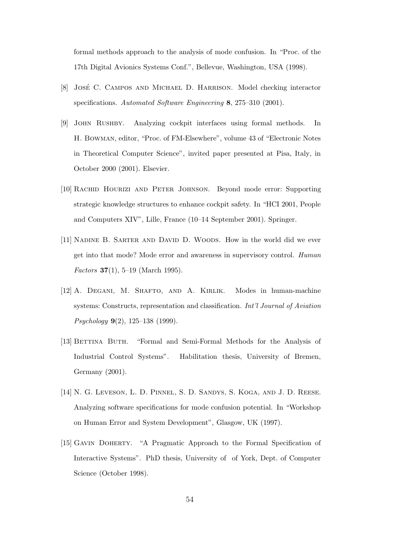formal methods approach to the analysis of mode confusion. In "Proc. of the 17th Digital Avionics Systems Conf.", Bellevue, Washington, USA (1998).

- [8] JOSÉ C. CAMPOS AND MICHAEL D. HARRISON. Model checking interactor specifications. Automated Software Engineering 8, 275–310 (2001).
- [9] JOHN RUSHBY. Analyzing cockpit interfaces using formal methods. In H. Bowman, editor, "Proc. of FM-Elsewhere", volume 43 of "Electronic Notes in Theoretical Computer Science", invited paper presented at Pisa, Italy, in October 2000 (2001). Elsevier.
- [10] Rachid Hourizi and Peter Johnson. Beyond mode error: Supporting strategic knowledge structures to enhance cockpit safety. In "HCI 2001, People and Computers XIV", Lille, France (10–14 September 2001). Springer.
- [11] Nadine B. Sarter and David D. Woods. How in the world did we ever get into that mode? Mode error and awareness in supervisory control. Human *Factors* 37(1), 5-19 (March 1995).
- [12] A. Degani, M. Shafto, and A. Kirlik. Modes in human-machine systems: Constructs, representation and classification. Int'l Journal of Aviation Psychology 9(2), 125–138 (1999).
- [13] BETTINA BUTH. "Formal and Semi-Formal Methods for the Analysis of Industrial Control Systems". Habilitation thesis, University of Bremen, Germany (2001).
- [14] N. G. Leveson, L. D. Pinnel, S. D. Sandys, S. Koga, and J. D. Reese. Analyzing software specifications for mode confusion potential. In "Workshop on Human Error and System Development", Glasgow, UK (1997).
- [15] Gavin Doherty. "A Pragmatic Approach to the Formal Specification of Interactive Systems". PhD thesis, University of of York, Dept. of Computer Science (October 1998).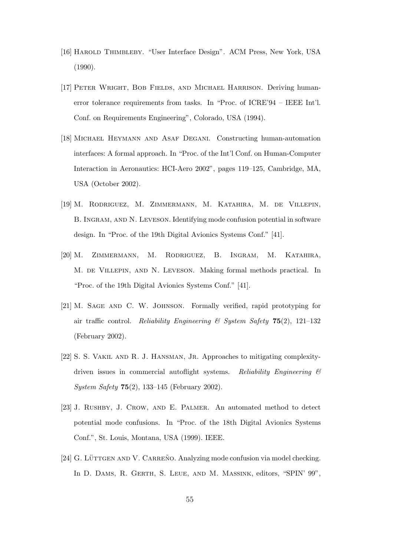- [16] Harold Thimbleby. "User Interface Design". ACM Press, New York, USA (1990).
- [17] Peter Wright, Bob Fields, and Michael Harrison. Deriving humanerror tolerance requirements from tasks. In "Proc. of ICRE'94 – IEEE Int'l. Conf. on Requirements Engineering", Colorado, USA (1994).
- [18] Michael Heymann and Asaf Degani. Constructing human-automation interfaces: A formal approach. In "Proc. of the Int'l Conf. on Human-Computer Interaction in Aeronautics: HCI-Aero 2002", pages 119–125, Cambridge, MA, USA (October 2002).
- [19] M. Rodriguez, M. Zimmermann, M. Katahira, M. de Villepin, B. Ingram, and N. Leveson. Identifying mode confusion potential in software design. In "Proc. of the 19th Digital Avionics Systems Conf." [41].
- [20] M. Zimmermann, M. Rodriguez, B. Ingram, M. Katahira, M. de Villepin, and N. Leveson. Making formal methods practical. In "Proc. of the 19th Digital Avionics Systems Conf." [41].
- [21] M. Sage and C. W. Johnson. Formally verified, rapid prototyping for air traffic control. Reliability Engineering & System Safety  $75(2)$ , 121–132 (February 2002).
- [22] S. S. VAKIL AND R. J. HANSMAN, JR. Approaches to mitigating complexitydriven issues in commercial autoflight systems. Reliability Engineering  $\mathcal C$ System Safety 75(2), 133–145 (February 2002).
- [23] J. RUSHBY, J. CROW, AND E. PALMER. An automated method to detect potential mode confusions. In "Proc. of the 18th Digital Avionics Systems Conf.", St. Louis, Montana, USA (1999). IEEE.
- $[24]$  G. LÜTTGEN AND V. CARRENO. Analyzing mode confusion via model checking. In D. DAMS, R. GERTH, S. LEUE, AND M. MASSINK, editors, "SPIN' 99",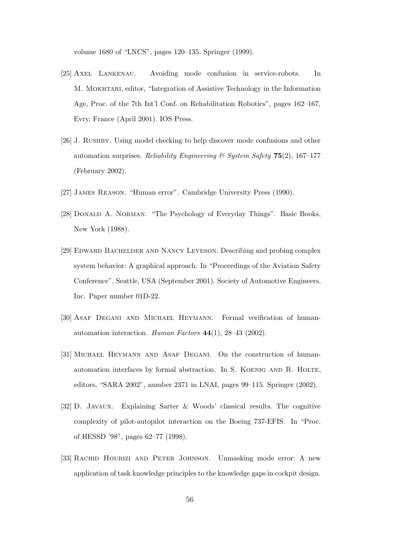volume 1680 of "LNCS", pages 120–135. Springer (1999).

- [25] Axel Lankenau. Avoiding mode confusion in service-robots. In M. MOKHTARI, editor, "Integration of Assistive Technology in the Information Age, Proc. of the 7th Int'l Conf. on Rehabilitation Robotics", pages 162–167, Evry, France (April 2001). IOS Press.
- [26] J. RUSHBY. Using model checking to help discover mode confusions and other automation surprises. Reliability Engineering & System Safety 75(2), 167–177 (February 2002).
- [27] James Reason. "Human error". Cambridge University Press (1990).
- [28] DONALD A. NORMAN. "The Psychology of Everyday Things". Basic Books, New York (1988).
- [29] Edward Bachelder and Nancy Leveson. Describing and probing complex system behavior: A graphical approach. In "Proceedings of the Aviation Safety Conference", Seattle, USA (September 2001). Society of Automotive Engineers, Inc. Paper number 01D-22.
- [30] Asaf Degani and Michael Heymann. Formal verification of humanautomation interaction. Human Factors 44(1), 28–43 (2002).
- [31] Michael Heymann and Asaf Degani. On the construction of humanautomation interfaces by formal abstraction. In S. KOENIG AND R. HOLTE, editors, "SARA 2002", number 2371 in LNAI, pages 99–115. Springer (2002).
- [32] D. Javaux. Explaining Sarter & Woods' classical results. The cognitive complexity of pilot-autopilot interaction on the Boeing 737-EFIS. In "Proc. of HESSD '98", pages 62–77 (1998).
- [33] RACHID HOURIZI AND PETER JOHNSON. Unmasking mode error: A new application of task knowledge principles to the knowledge gaps in cockpit design.